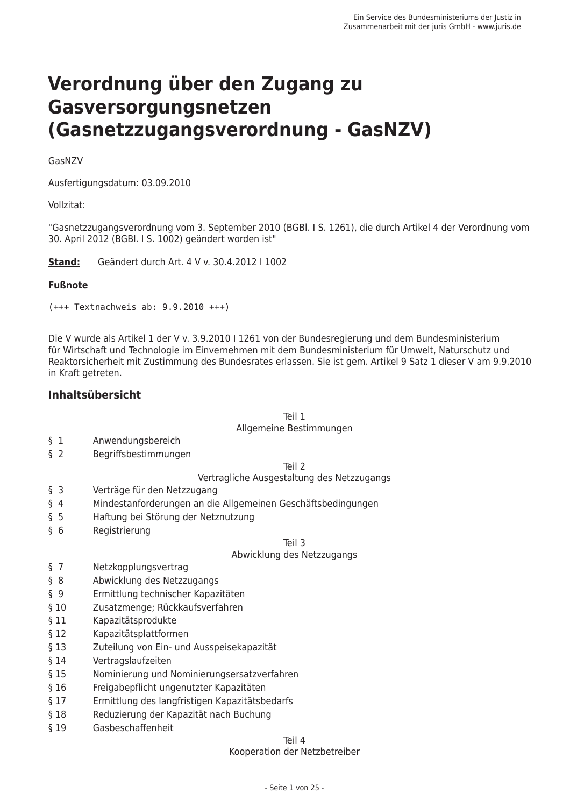# Verordnung über den Zugang zu Gasversorgungsnetzen (Gasnetzzugangsverordnung - GasNZV)

#### GasNZV

Ausfertigungsdatum: 03.09.2010

#### Vollzitat:

"Gasnetzzugangsverordnung vom 3. September 2010 (BGBI, J S, 1261), die durch Artikel 4 der Verordnung vom 30. April 2012 (BGBI, J S. 1002) geändert worden ist"

Stand: Geändert durch Art. 4 V v. 30.4.2012 | 1002

#### **Fußnote**

 $(+++$  Textnachweis ab:  $9.9.2010$   $++$ )

Die V wurde als Artikel 1 der V v. 3.9.2010 I 1261 von der Bundesregierung und dem Bundesministerium für Wirtschaft und Technologie im Einvernehmen mit dem Bundesministerium für Umwelt, Naturschutz und Reaktorsicherheit mit Zustimmung des Bundesrates erlassen. Sie ist gem. Artikel 9 Satz 1 dieser V am 9.9.2010 in Kraft getreten.

#### **Inhaltsübersicht**

 $T$ eil 1

#### Allgemeine Bestimmungen

- $\S$  1 Anwendungsbereich
- $\begin{matrix}6 & 2 \end{matrix}$ Begriffsbestimmungen

Teil 2

#### Vertragliche Ausgestaltung des Netzzugangs

- $\S$  3 Verträge für den Netzzugang
- $\begin{matrix}6 & 4 \end{matrix}$ Mindestanforderungen an die Allgemeinen Geschäftsbedingungen
- $\delta$  5 Haftung bei Störung der Netznutzung
- $66$ Registrierung

Teil 3

#### Abwicklung des Netzzugangs

- $\delta$  7 Netzkopplungsvertrag
- $§ 8$ Abwicklung des Netzzugangs
- $S \quad 9$ Ermittlung technischer Kapazitäten
- $$10$ Zusatzmenge; Rückkaufsverfahren
- Kapazitätsprodukte  $$11$
- $$12$ Kapazitätsplattformen
- $$13$ Zuteilung von Ein- und Ausspeisekapazität
- $$14$ Vertragslaufzeiten
- $$15$ Nominierung und Nominierungsersatzverfahren
- $§$  16 Freigabepflicht ungenutzter Kapazitäten
- $$17$ Ermittlung des langfristigen Kapazitätsbedarfs
- $§$  18 Reduzierung der Kapazität nach Buchung
- Gasbeschaffenheit  $§$  19

#### Teil 4

Kooperation der Netzbetreiber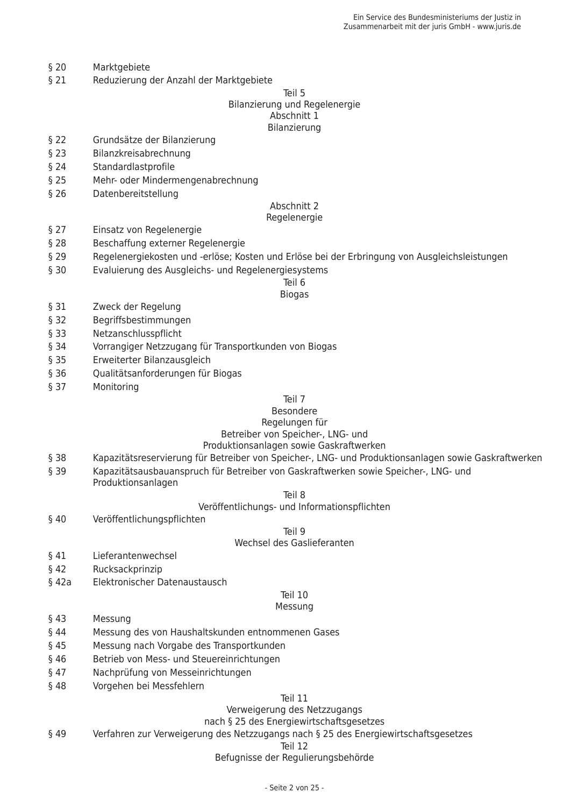- $§$  20 Marktgebiete
- $§$  21 Reduzierung der Anzahl der Marktgebiete

#### Teil 5 Bilanzierung und Regelenergie Abschnitt 1 Bilanzierung

- $§$  22 Grundsätze der Bilanzierung
- $§$  23 Bilanzkreisabrechnung
- $$24$ Standardlastprofile
- $$25$ Mehr- oder Mindermengenabrechnung
- $§26$ Datenbereitstellung

#### Abschnitt 2

#### Regelenergie

- $§27$ Einsatz von Regelenergie
- $$28$ Beschaffung externer Regelenergie
- $$29$ Regelenergiekosten und -erlöse; Kosten und Erlöse bei der Erbringung von Ausgleichsleistungen
- $$30$ Evaluierung des Ausgleichs- und Regelenergiesystems

#### Teil 6 **Biogas**

- $$31$ Zweck der Regelung
- $§ 32$ Begriffsbestimmungen
- § 33 Netzanschlusspflicht
- $$34$ Vorrangiger Netzzugang für Transportkunden von Biogas
- $$35$ Erweiterter Bilanzausgleich
- § 36 Qualitätsanforderungen für Biogas
- § 37 Monitorina

#### Teil 7

#### Besondere

#### Regelungen für Betreiber von Speicher-, LNG- und

# Produktionsanlagen sowie Gaskraftwerken

- **§ 38** Kapazitätsreservierung für Betreiber von Speicher-, LNG- und Produktionsanlagen sowie Gaskraftwerken
- Kapazitätsausbauanspruch für Betreiber von Gaskraftwerken sowie Speicher-, LNG- und § 39 Produktionsanlagen

#### R lieT

#### Veröffentlichungs- und Informationspflichten

 $$40$ Veröffentlichungspflichten

#### $T<sub>P</sub>$ il 9

#### Wechsel des Gaslieferanten

- $§41$ Lieferantenwechsel
- $§$  42 Rucksackprinzip
- $$42a$ Elektronischer Datenaustausch

#### Teil 10

#### Messung

- $643$ Messung
- $§44$ Messung des von Haushaltskunden entnommenen Gases
- $§$  45 Messung nach Vorgabe des Transportkunden
- $§46$ Betrieb von Mess- und Steuereinrichtungen
- $§47$ Nachprüfung von Messeinrichtungen
- $§48$ Vorgehen bei Messfehlern

#### Teil 11

#### Verweigerung des Netzzugangs

#### nach § 25 des Energiewirtschaftsgesetzes

 $$49$ Verfahren zur Verweigerung des Netzzugangs nach § 25 des Energiewirtschaftsgesetzes

#### Teil 12

#### Befugnisse der Regulierungsbehörde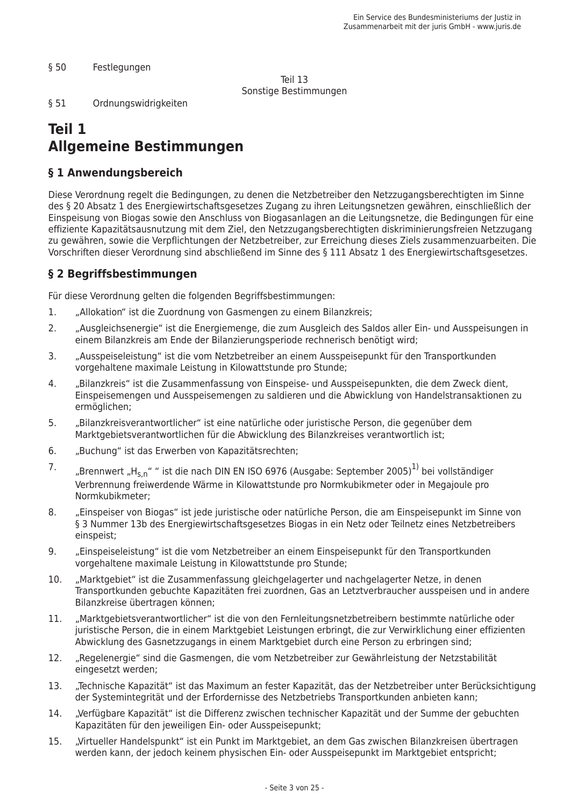$§ 50$ Festlegungen

> $T<sub>P</sub>$ il 13 Sonstige Bestimmungen

 $$51$ Ordnungswidrigkeiten

# Teil 1 **Allgemeine Bestimmungen**

### § 1 Anwendungsbereich

Diese Verordnung regelt die Bedingungen, zu denen die Netzbetreiber den Netzzugangsberechtigten im Sinne des § 20 Absatz 1 des Energiewirtschaftsgesetzes Zugang zu ihren Leitungsnetzen gewähren, einschließlich der Einspeisung von Biogas sowie den Anschluss von Biogasanlagen an die Leitungsnetze, die Bedingungen für eine effiziente Kapazitätsausnutzung mit dem Ziel, den Netzzugangsberechtigten diskriminierungsfreien Netzzugang zu gewähren, sowie die Verpflichtungen der Netzbetreiber, zur Erreichung dieses Ziels zusammenzuarbeiten. Die Vorschriften dieser Verordnung sind abschließend im Sinne des § 111 Absatz 1 des Energiewirtschaftsgesetzes.

## § 2 Begriffsbestimmungen

Für diese Verordnung gelten die folgenden Begriffsbestimmungen:

- $1.$ "Allokation" ist die Zuordnung von Gasmengen zu einem Bilanzkreis;
- $2.$ "Ausgleichsenergie" ist die Energiemenge, die zum Ausgleich des Saldos aller Ein- und Ausspeisungen in einem Bilanzkreis am Ende der Bilanzierungsperiode rechnerisch benötigt wird;
- $\mathcal{F}$ "Ausspeiseleistung" ist die vom Netzbetreiber an einem Ausspeisepunkt für den Transportkunden vorgehaltene maximale Leistung in Kilowattstunde pro Stunde:
- $\overline{4}$ . "Bilanzkreis" ist die Zusammenfassung von Einspeise- und Ausspeisepunkten, die dem Zweck dient, Einspeisemengen und Ausspeisemengen zu saldieren und die Abwicklung von Handelstransaktionen zu ermöglichen;
- 5. "Bilanzkreisverantwortlicher" ist eine natürliche oder juristische Person, die gegenüber dem Marktgebietsverantwortlichen für die Abwicklung des Bilanzkreises verantwortlich ist;
- "Buchung" ist das Erwerben von Kapazitätsrechten;  $6.$
- 7. "Brennwert "H<sub>s,n</sub>"" ist die nach DIN EN ISO 6976 (Ausgabe: September 2005)<sup>1)</sup> bei vollständiger Verbrennung freiwerdende Wärme in Kilowattstunde pro Normkubikmeter oder in Megajoule pro Normkubikmeter:
- "Einspeiser von Biogas" ist jede juristische oder natürliche Person, die am Einspeisepunkt im Sinne von 8. § 3 Nummer 13b des Energiewirtschaftsgesetzes Biogas in ein Netz oder Teilnetz eines Netzbetreibers einspeist;
- "Einspeiseleistung" ist die vom Netzbetreiber an einem Einspeisepunkt für den Transportkunden 9. vorgehaltene maximale Leistung in Kilowattstunde pro Stunde:
- "Marktgebiet" ist die Zusammenfassung gleichgelagerter und nachgelagerter Netze, in denen  $10.$ Transportkunden gebuchte Kapazitäten frei zuordnen, Gas an Letztverbraucher ausspeisen und in andere Bilanzkreise übertragen können;
- "Marktgebietsverantwortlicher" ist die von den Fernleitungsnetzbetreibern bestimmte natürliche oder 11. juristische Person, die in einem Marktgebiet Leistungen erbringt, die zur Verwirklichung einer effizienten Abwicklung des Gasnetzzugangs in einem Marktgebiet durch eine Person zu erbringen sind;
- $12<sup>1</sup>$ "Regelenergie" sind die Gasmengen, die vom Netzbetreiber zur Gewährleistung der Netzstabilität eingesetzt werden:
- "Technische Kapazität" ist das Maximum an fester Kapazität, das der Netzbetreiber unter Berücksichtigung  $13.$ der Systemintegrität und der Erfordernisse des Netzbetriebs Transportkunden anbieten kann;
- "Verfügbare Kapazität" ist die Differenz zwischen technischer Kapazität und der Summe der gebuchten 14. Kapazitäten für den jeweiligen Ein- oder Ausspeisepunkt;
- "Virtueller Handelspunkt" ist ein Punkt im Marktgebiet, an dem Gas zwischen Bilanzkreisen übertragen 15. werden kann, der jedoch keinem physischen Ein- oder Ausspeisepunkt im Marktgebiet entspricht: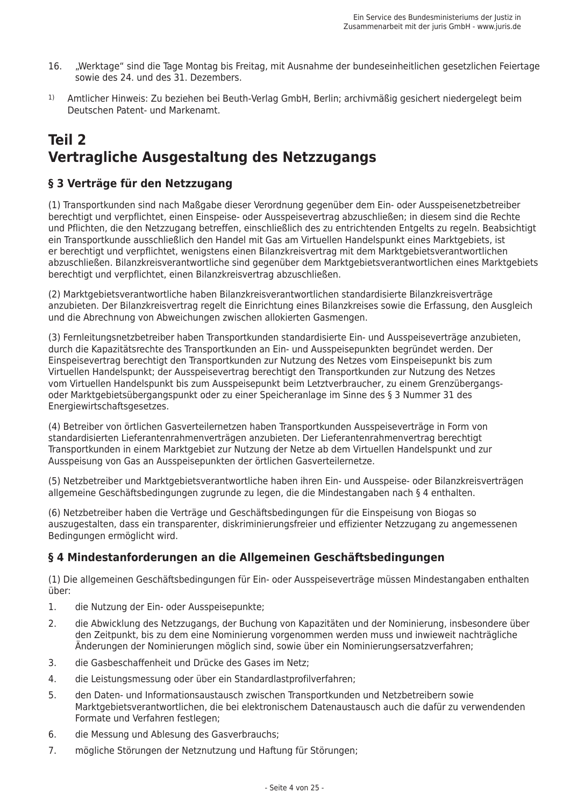- "Werktage" sind die Tage Montag bis Freitag, mit Ausnahme der bundeseinheitlichen gesetzlichen Feiertage 16 sowie des 24. und des 31. Dezembers.
- $1)$ Amtlicher Hinweis: Zu beziehen bei Beuth-Verlag GmbH, Berlin; archivmäßig gesichert niedergelegt beim Deutschen Patent- und Markenamt.

# **Teil 2** Vertragliche Ausgestaltung des Netzzugangs

## § 3 Verträge für den Netzzugang

(1) Transportkunden sind nach Maßgabe dieser Verordnung gegenüber dem Ein- oder Ausspeisenetzbetreiber berechtigt und verpflichtet, einen Einspeise- oder Ausspeisevertrag abzuschließen; in diesem sind die Rechte und Pflichten, die den Netzzugang betreffen, einschließlich des zu entrichtenden Entgelts zu regeln. Beabsichtigt ein Transportkunde ausschließlich den Handel mit Gas am Virtuellen Handelspunkt eines Marktgebiets, ist er berechtigt und verpflichtet, wenigstens einen Bilanzkreisvertrag mit dem Marktgebietsverantwortlichen abzuschließen. Bilanzkreisverantwortliche sind gegenüber dem Marktgebietsverantwortlichen eines Marktgebiets berechtigt und verpflichtet, einen Bilanzkreisvertrag abzuschließen.

(2) Marktgebietsverantwortliche haben Bilanzkreisverantwortlichen standardisierte Bilanzkreisverträge anzubieten. Der Bilanzkreisvertrag regelt die Einrichtung eines Bilanzkreises sowie die Erfassung, den Ausgleich und die Abrechnung von Abweichungen zwischen allokierten Gasmengen.

(3) Fernleitungsnetzbetreiber haben Transportkunden standardisierte Ein- und Ausspeiseverträge anzubieten. durch die Kapazitätsrechte des Transportkunden an Ein- und Ausspeisepunkten begründet werden. Der Einspeisevertrag berechtigt den Transportkunden zur Nutzung des Netzes vom Einspeisepunkt bis zum Virtuellen Handelspunkt: der Ausspeisevertrag berechtigt den Transportkunden zur Nutzung des Netzes vom Virtuellen Handelspunkt bis zum Ausspeisepunkt beim Letztverbraucher, zu einem Grenzübergangsoder Marktgebietsübergangspunkt oder zu einer Speicheranlage im Sinne des § 3 Nummer 31 des Energiewirtschaftsgesetzes.

(4) Betreiber von örtlichen Gasverteilernetzen haben Transportkunden Ausspeiseverträge in Form von standardisierten Lieferantenrahmenverträgen anzubieten. Der Lieferantenrahmenvertrag berechtigt Transportkunden in einem Marktgebiet zur Nutzung der Netze ab dem Virtuellen Handelspunkt und zur Ausspeisung von Gas an Ausspeisepunkten der örtlichen Gasverteilernetze.

(5) Netzbetreiber und Marktgebietsverantwortliche haben ihren Ein- und Ausspeise- oder Bilanzkreisverträgen allgemeine Geschäftsbedingungen zugrunde zu legen, die die Mindestangaben nach § 4 enthalten.

(6) Netzbetreiber haben die Verträge und Geschäftsbedingungen für die Einspeisung von Biogas so auszugestalten, dass ein transparenter, diskriminierungsfreier und effizienter Netzzugang zu angemessenen Bedingungen ermöglicht wird.

## § 4 Mindestanforderungen an die Allgemeinen Geschäftsbedingungen

(1) Die allgemeinen Geschäftsbedingungen für Ein- oder Ausspeiseverträge müssen Mindestangaben enthalten über:

- $\mathbf{1}$ . die Nutzung der Ein- oder Ausspeisepunkte;
- $2.$ die Abwicklung des Netzzugangs, der Buchung von Kapazitäten und der Nominierung, insbesondere über den Zeitpunkt, bis zu dem eine Nominierung vorgenommen werden muss und inwieweit nachträgliche Änderungen der Nominierungen möglich sind, sowie über ein Nominierungsersatzverfahren;
- $\overline{3}$ . die Gasbeschaffenheit und Drücke des Gases im Netz;
- $\overline{4}$ . die Leistungsmessung oder über ein Standardlastprofilverfahren;
- 5 den Daten- und Informationsaustausch zwischen Transportkunden und Netzbetreibern sowie Marktgebietsverantwortlichen, die bei elektronischem Datenaustausch auch die dafür zu verwendenden Formate und Verfahren festlegen:
- 6. die Messung und Ablesung des Gasverbrauchs;
- 7. mögliche Störungen der Netznutzung und Haftung für Störungen;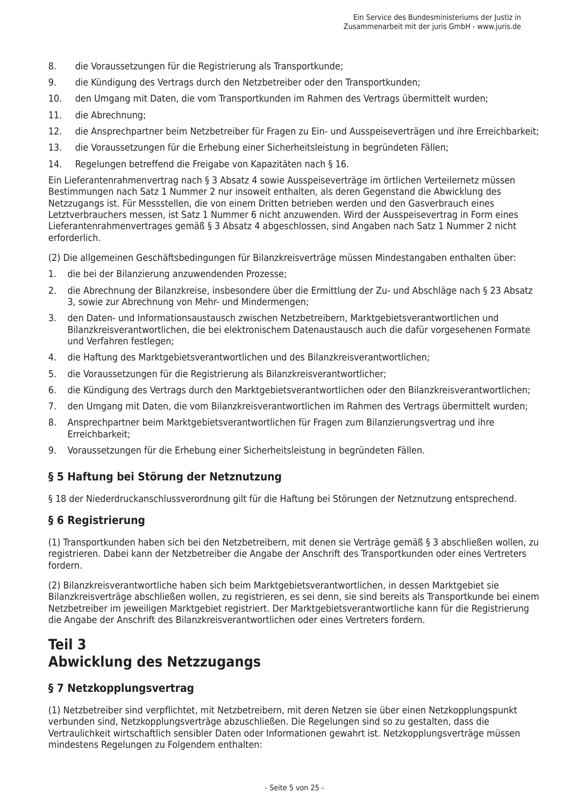- 8. die Voraussetzungen für die Registrierung als Transportkunde;
- $\mathsf{Q}$ die Kündigung des Vertrags durch den Netzbetreiber oder den Transportkunden:
- 10. den Umgang mit Daten, die vom Transportkunden im Rahmen des Vertrags übermittelt wurden;
- $11.$ die Abrechnung;
- die Ansprechpartner beim Netzbetreiber für Fragen zu Ein- und Ausspeiseverträgen und ihre Erreichbarkeit; 12.
- 13. die Voraussetzungen für die Erhebung einer Sicherheitsleistung in begründeten Fällen;
- Regelungen betreffend die Freigabe von Kapazitäten nach § 16. 14.

Ein Lieferantenrahmenvertrag nach § 3 Absatz 4 sowie Ausspeiseverträge im örtlichen Verteilernetz müssen Bestimmungen nach Satz 1 Nummer 2 nur insoweit enthalten, als deren Gegenstand die Abwicklung des Netzzugangs ist. Für Messstellen, die von einem Dritten betrieben werden und den Gasverbrauch eines Letztverbrauchers messen, ist Satz 1 Nummer 6 nicht anzuwenden. Wird der Ausspeisevertrag in Form eines Lieferantenrahmenvertrages gemäß § 3 Absatz 4 abgeschlossen, sind Angaben nach Satz 1 Nummer 2 nicht erforderlich.

- (2) Die allgemeinen Geschäftsbedingungen für Bilanzkreisverträge müssen Mindestangaben enthalten über:
- $1.$ die bei der Bilanzierung anzuwendenden Prozesse;
- die Abrechnung der Bilanzkreise, insbesondere über die Ermittlung der Zu- und Abschläge nach § 23 Absatz  $2<sup>1</sup>$ 3, sowie zur Abrechnung von Mehr- und Mindermengen;
- den Daten- und Informationsaustausch zwischen Netzbetreibern. Marktgebietsverantwortlichen und  $\mathbf{3}$ . Bilanzkreisverantwortlichen, die bei elektronischem Datenaustausch auch die dafür vorgesehenen Formate und Verfahren festlegen;
- die Haftung des Marktgebietsverantwortlichen und des Bilanzkreisverantwortlichen;  $4.$
- 5. die Voraussetzungen für die Registrierung als Bilanzkreisverantwortlicher;
- die Kündigung des Vertrags durch den Marktgebietsverantwortlichen oder den Bilanzkreisverantwortlichen; 6.
- $7<sup>1</sup>$ den Umgang mit Daten, die vom Bilanzkreisverantwortlichen im Rahmen des Vertrags übermittelt wurden;
- Ansprechpartner beim Marktgebietsverantwortlichen für Fragen zum Bilanzierungsvertrag und ihre  $\mathsf{R}$ Erreichbarkeit:
- 9. Voraussetzungen für die Erhebung einer Sicherheitsleistung in begründeten Fällen.

## § 5 Haftung bei Störung der Netznutzung

§ 18 der Niederdruckanschlussverordnung gilt für die Haftung bei Störungen der Netznutzung entsprechend.

#### § 6 Registrierung

(1) Transportkunden haben sich bei den Netzbetreibern, mit denen sie Verträge gemäß § 3 abschließen wollen, zu registrieren. Dabei kann der Netzbetreiber die Angabe der Anschrift des Transportkunden oder eines Vertreters fordern.

(2) Bilanzkreisverantwortliche haben sich beim Marktgebietsverantwortlichen, in dessen Marktgebiet sie Bilanzkreisverträge abschließen wollen, zu registrieren, es sei denn, sie sind bereits als Transportkunde bei einem Netzbetreiber im jeweiligen Marktgebiet registriert. Der Marktgebietsverantwortliche kann für die Registrierung die Angabe der Anschrift des Bilanzkreisverantwortlichen oder eines Vertreters fordern.

# Teil 3 **Abwicklung des Netzzugangs**

#### § 7 Netzkopplungsvertrag

(1) Netzbetreiber sind verpflichtet, mit Netzbetreibern, mit deren Netzen sie über einen Netzkopplungspunkt verbunden sind, Netzkopplungsverträge abzuschließen. Die Regelungen sind so zu gestalten, dass die Vertraulichkeit wirtschaftlich sensibler Daten oder Informationen gewahrt ist. Netzkopplungsverträge müssen mindestens Regelungen zu Folgendem enthalten: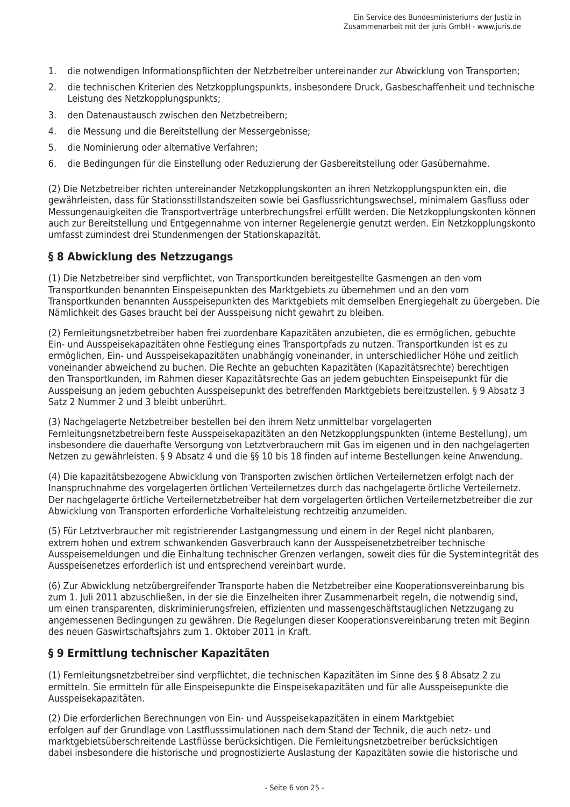- 1. die notwendigen Informationspflichten der Netzbetreiber untereinander zur Abwicklung von Transporten:
- $2<sup>1</sup>$ die technischen Kriterien des Netzkopplungspunkts, insbesondere Druck, Gasbeschaffenheit und technische Leistung des Netzkopplungspunkts;
- den Datenaustausch zwischen den Netzbetreibern;  $\mathcal{R}$
- $\overline{4}$ . die Messung und die Bereitstellung der Messergebnisse;
- die Nominierung oder alternative Verfahren;  $5.$
- die Bedingungen für die Einstellung oder Reduzierung der Gasbereitstellung oder Gasübernahme. 6.

(2) Die Netzbetreiber richten untereinander Netzkopplungskonten an ihren Netzkopplungspunkten ein, die gewährleisten, dass für Stationsstillstandszeiten sowie bei Gasflussrichtungswechsel, minimalem Gasfluss oder Messungenaujgkeiten die Transportverträge unterbrechungsfrei erfüllt werden. Die Netzkopplungskonten können auch zur Bereitstellung und Entgegennahme von interner Regelenergie genutzt werden. Ein Netzkopplungskonto umfasst zumindest drei Stundenmengen der Stationskapazität.

### § 8 Abwicklung des Netzzugangs

(1) Die Netzbetreiber sind verpflichtet, von Transportkunden bereitgestellte Gasmengen an den vom Transportkunden benannten Einspeisepunkten des Marktgebiets zu übernehmen und an den vom Transportkunden benannten Ausspeisepunkten des Marktgebiets mit demselben Energiegehalt zu übergeben. Die Nämlichkeit des Gases braucht bei der Ausspeisung nicht gewahrt zu bleiben.

(2) Fernleitungsnetzbetreiber haben frei zuordenbare Kapazitäten anzubieten, die es ermöglichen, gebuchte Ein- und Ausspeisekapazitäten ohne Festlegung eines Transportpfads zu nutzen. Transportkunden ist es zu ermöglichen, Ein- und Ausspeisekapazitäten unabhängig voneinander, in unterschiedlicher Höhe und zeitlich voneinander abweichend zu buchen. Die Rechte an gebuchten Kapazitäten (Kapazitätsrechte) berechtigen den Transportkunden, im Rahmen dieser Kapazitätsrechte Gas an jedem gebuchten Einspeisepunkt für die Ausspeisung an jedem gebuchten Ausspeisepunkt des betreffenden Marktgebiets bereitzustellen. § 9 Absatz 3 Satz 2 Nummer 2 und 3 bleibt unberührt.

(3) Nachgelagerte Netzbetreiber bestellen bei den ihrem Netz unmittelbar vorgelagerten Fernleitungsnetzbetreibern feste Ausspeisekapazitäten an den Netzkopplungspunkten (interne Bestellung), um insbesondere die dauerhafte Versorgung von Letztverbrauchern mit Gas im eigenen und in den nachgelagerten Netzen zu gewährleisten. § 9 Absatz 4 und die §§ 10 bis 18 finden auf interne Bestellungen keine Anwendung.

(4) Die kapazitätsbezogene Abwicklung von Transporten zwischen örtlichen Verteilernetzen erfolgt nach der Inanspruchnahme des vorgelagerten örtlichen Verteilernetzes durch das nachgelagerte örtliche Verteilernetz. Der nachgelagerte örtliche Verteilernetzbetreiber hat dem vorgelagerten örtlichen Verteilernetzbetreiber die zur Abwicklung von Transporten erforderliche Vorhalteleistung rechtzeitig anzumelden.

(5) Für Letztverbraucher mit registrierender Lastgangmessung und einem in der Regel nicht planbaren, extrem hohen und extrem schwankenden Gasverbrauch kann der Ausspeisenetzbetreiber technische Ausspeisemeldungen und die Einhaltung technischer Grenzen verlangen, soweit dies für die Systemintegrität des Ausspeisenetzes erforderlich ist und entsprechend vereinbart wurde.

(6) Zur Abwicklung netzübergreifender Transporte haben die Netzbetreiber eine Kooperationsvereinbarung bis zum 1. Juli 2011 abzuschließen, in der sie die Einzelheiten ihrer Zusammenarbeit regeln, die notwendig sind. um einen transparenten, diskriminierungsfreien, effizienten und massengeschäftstauglichen Netzzugang zu angemessenen Bedingungen zu gewähren. Die Regelungen dieser Kooperationsvereinbarung treten mit Beginn des neuen Gaswirtschaftsjahrs zum 1. Oktober 2011 in Kraft.

#### § 9 Ermittlung technischer Kapazitäten

(1) Fernleitungsnetzbetreiber sind verpflichtet, die technischen Kapazitäten im Sinne des § 8 Absatz 2 zu ermitteln. Sie ermitteln für alle Einspeisepunkte die Einspeisekapazitäten und für alle Ausspeisepunkte die Ausspeisekapazitäten.

(2) Die erforderlichen Berechnungen von Ein- und Ausspeisekapazitäten in einem Marktgebiet erfolgen auf der Grundlage von Lastflusssimulationen nach dem Stand der Technik, die auch netz- und marktgebietsüberschreitende Lastflüsse berücksichtigen. Die Fernleitungsnetzbetreiber berücksichtigen dabei insbesondere die historische und prognostizierte Auslastung der Kapazitäten sowie die historische und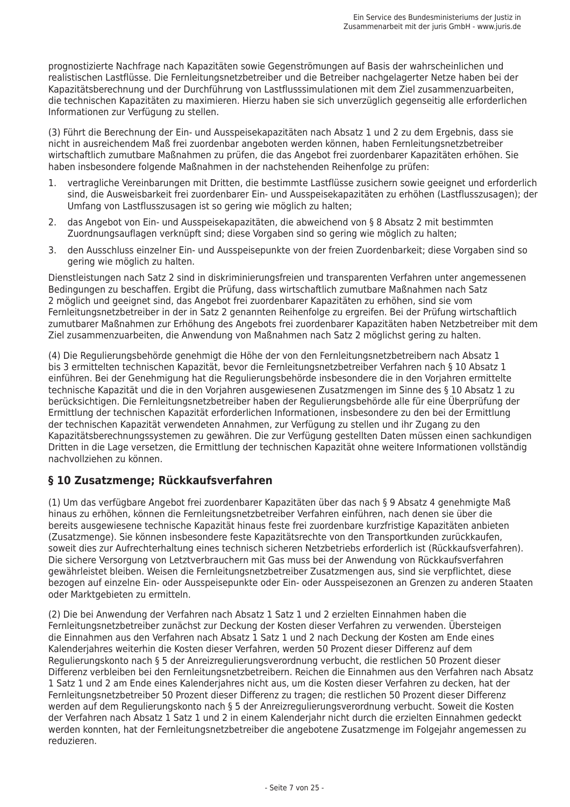prognostizierte Nachfrage nach Kapazitäten sowie Gegenströmungen auf Basis der wahrscheinlichen und realistischen Lastflüsse. Die Fernleitungsnetzbetreiber und die Betreiber nachgelagerter Netze haben bei der Kapazitätsberechnung und der Durchführung von Lastflusssimulationen mit dem Ziel zusammenzuarbeiten, die technischen Kapazitäten zu maximieren. Hierzu haben sie sich unverzüglich gegenseitig alle erforderlichen Informationen zur Verfügung zu stellen.

(3) Führt die Berechnung der Ein- und Ausspeisekapazitäten nach Absatz 1 und 2 zu dem Ergebnis, dass sie nicht in ausreichendem Maß frei zuordenbar angeboten werden können, haben Fernleitungsnetzbetreiber wirtschaftlich zumutbare Maßnahmen zu prüfen, die das Angebot frei zuordenbarer Kapazitäten erhöhen. Sie haben insbesondere folgende Maßnahmen in der nachstehenden Reihenfolge zu prüfen:

- vertragliche Vereinbarungen mit Dritten, die bestimmte Lastflüsse zusichern sowie geeignet und erforderlich sind, die Ausweisbarkeit frei zuordenbarer Ein- und Ausspeisekapazitäten zu erhöhen (Lastflusszusagen); der Umfang von Lastflusszusagen ist so gering wie möglich zu halten:
- 2. das Angebot von Ein- und Ausspeisekapazitäten, die abweichend von § 8 Absatz 2 mit bestimmten Zuordnungsauflagen verknüpft sind; diese Vorgaben sind so gering wie möglich zu halten;
- den Ausschluss einzelner Ein- und Ausspeisepunkte von der freien Zuordenbarkeit; diese Vorgaben sind so  $\mathcal{F}$ gering wie möglich zu halten.

Dienstleistungen nach Satz 2 sind in diskriminierungsfreien und transparenten Verfahren unter angemessenen Bedingungen zu beschaffen. Ergibt die Prüfung, dass wirtschaftlich zumutbare Maßnahmen nach Satz 2 möglich und geeignet sind, das Angebot frei zuordenbarer Kapazitäten zu erhöhen, sind sie vom Fernleitungsnetzbetreiber in der in Satz 2 genannten Reihenfolge zu ergreifen. Bei der Prüfung wirtschaftlich zumutbarer Maßnahmen zur Erhöhung des Angebots frei zuordenbarer Kapazitäten haben Netzbetreiber mit dem Ziel zusammenzuarbeiten, die Anwendung von Maßnahmen nach Satz 2 möglichst gering zu halten.

(4) Die Regulierungsbehörde genehmigt die Höhe der von den Fernleitungsnetzbetreibern nach Absatz 1 bis 3 ermittelten technischen Kapazität, bevor die Fernleitungsnetzbetreiber Verfahren nach § 10 Absatz 1 einführen. Bei der Genehmigung hat die Regulierungsbehörde insbesondere die in den Vorjahren ermittelte technische Kapazität und die in den Voriahren ausgewiesenen Zusatzmengen im Sinne des § 10 Absatz 1 zu berücksichtigen. Die Fernleitungsnetzbetreiber haben der Regulierungsbehörde alle für eine Überprüfung der Ermittlung der technischen Kapazität erforderlichen Informationen, insbesondere zu den bei der Ermittlung der technischen Kapazität verwendeten Annahmen, zur Verfügung zu stellen und ihr Zugang zu den Kapazitätsberechnungssystemen zu gewähren. Die zur Verfügung gestellten Daten müssen einen sachkundigen Dritten in die Lage versetzen, die Ermittlung der technischen Kapazität ohne weitere Informationen vollständig nachvollziehen zu können.

## § 10 Zusatzmenge: Rückkaufsverfahren

(1) Um das verfügbare Angebot frei zuordenbarer Kapazitäten über das nach § 9 Absatz 4 genehmigte Maß hinaus zu erhöhen, können die Fernleitungsnetzbetreiber Verfahren einführen, nach denen sie über die bereits ausgewiesene technische Kapazität hinaus feste frei zuordenbare kurzfristige Kapazitäten anbieten (Zusatzmenge). Sie können insbesondere feste Kapazitätsrechte von den Transportkunden zurückkaufen, soweit dies zur Aufrechterhaltung eines technisch sicheren Netzbetriebs erforderlich ist (Rückkaufsverfahren). Die sichere Versorgung von Letztverbrauchern mit Gas muss bei der Anwendung von Rückkaufsverfahren gewährleistet bleiben. Weisen die Fernleitungsnetzbetreiber Zusatzmengen aus, sind sie verpflichtet, diese bezogen auf einzelne Ein- oder Ausspeisepunkte oder Ein- oder Ausspeisezonen an Grenzen zu anderen Staaten oder Marktgebieten zu ermitteln.

(2) Die bei Anwendung der Verfahren nach Absatz 1 Satz 1 und 2 erzielten Einnahmen haben die Fernleitungsnetzbetreiber zunächst zur Deckung der Kosten dieser Verfahren zu verwenden. Übersteigen die Einnahmen aus den Verfahren nach Absatz 1 Satz 1 und 2 nach Deckung der Kosten am Ende eines Kalenderjahres weiterhin die Kosten dieser Verfahren, werden 50 Prozent dieser Differenz auf dem Regulierungskonto nach § 5 der Anreizregulierungsverordnung verbucht, die restlichen 50 Prozent dieser Differenz verbleiben bei den Fernleitungsnetzbetreibern. Reichen die Einnahmen aus den Verfahren nach Absatz 1 Satz 1 und 2 am Ende eines Kalenderjahres nicht aus, um die Kosten dieser Verfahren zu decken, hat der Fernleitungsnetzbetreiber 50 Prozent dieser Differenz zu tragen; die restlichen 50 Prozent dieser Differenz werden auf dem Regulierungskonto nach § 5 der Anreizregulierungsverordnung verbucht. Soweit die Kosten der Verfahren nach Absatz 1 Satz 1 und 2 in einem Kalenderjahr nicht durch die erzielten Einnahmen gedeckt werden konnten, hat der Fernleitungsnetzbetreiber die angebotene Zusatzmenge im Folgejahr angemessen zu reduzieren.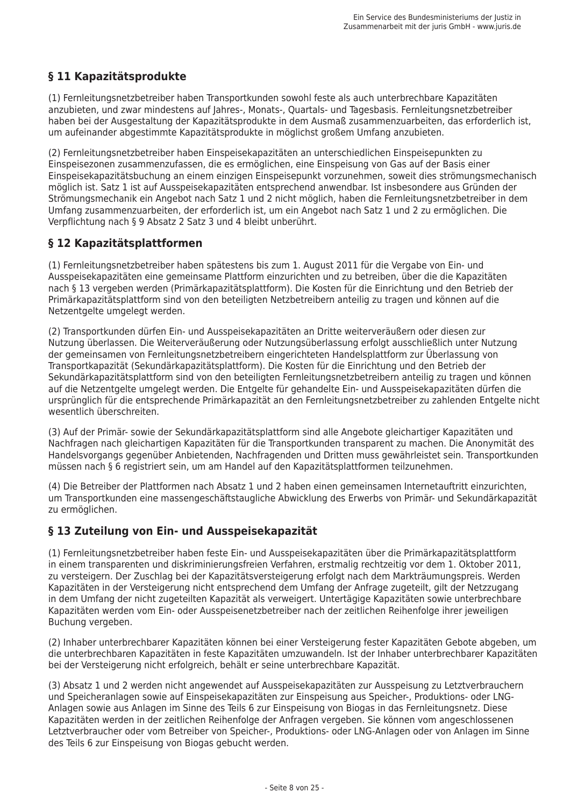# § 11 Kapazitätsprodukte

(1) Fernleitungsnetzbetreiber haben Transportkunden sowohl feste als auch unterbrechbare Kapazitäten anzubieten, und zwar mindestens auf Jahres-, Monats-, Quartals- und Tagesbasis. Fernleitungsnetzbetreiber haben bei der Ausgestaltung der Kapazitätsprodukte in dem Ausmaß zusammenzuarbeiten, das erforderlich ist, um aufeinander abgestimmte Kapazitätsprodukte in möglichst großem Umfang anzubieten.

(2) Fernleitungsnetzbetreiber haben Einspeisekapazitäten an unterschiedlichen Einspeisepunkten zu Einspeisezonen zusammenzufassen, die es ermöglichen, eine Einspeisung von Gas auf der Basis einer Einspeisekapazitätsbuchung an einem einzigen Einspeisepunkt vorzunehmen, soweit dies strömungsmechanisch möglich ist. Satz 1 ist auf Ausspeisekapazitäten entsprechend anwendbar. Ist insbesondere aus Gründen der Strömungsmechanik ein Angebot nach Satz 1 und 2 nicht möglich, haben die Fernleitungsnetzbetreiber in dem Umfang zusammenzuarbeiten, der erforderlich ist, um ein Angebot nach Satz 1 und 2 zu ermöglichen. Die Verpflichtung nach § 9 Absatz 2 Satz 3 und 4 bleibt unberührt.

## § 12 Kapazitätsplattformen

(1) Fernleitungsnetzbetreiber haben spätestens bis zum 1. August 2011 für die Vergabe von Ein- und Ausspeisekapazitäten eine gemeinsame Plattform einzurichten und zu betreiben, über die die Kapazitäten nach § 13 vergeben werden (Primärkapazitätsplattform). Die Kosten für die Einrichtung und den Betrieb der Primärkapazitätsplattform sind von den beteiligten Netzbetreibern anteilig zu tragen und können auf die Netzentgelte umgelegt werden.

(2) Transportkunden dürfen Ein- und Ausspeisekapazitäten an Dritte weiterveräußern oder diesen zur Nutzung überlassen. Die Weiterveräußerung oder Nutzungsüberlassung erfolgt ausschließlich unter Nutzung der gemeinsamen von Fernleitungsnetzbetreibern eingerichteten Handelsplattform zur Überlassung von Transportkapazität (Sekundärkapazitätsplattform). Die Kosten für die Einrichtung und den Betrieb der Sekundärkapazitätsplattform sind von den beteiligten Fernleitungsnetzbetreibern anteilig zu tragen und können auf die Netzentgelte umgelegt werden. Die Entgelte für gehandelte Ein- und Ausspeisekapazitäten dürfen die ursprünglich für die entsprechende Primärkapazität an den Fernleitungsnetzbetreiber zu zahlenden Entgelte nicht wesentlich überschreiten.

(3) Auf der Primär- sowie der Sekundärkapazitätsplattform sind alle Angebote gleichartiger Kapazitäten und Nachfragen nach gleichartigen Kapazitäten für die Transportkunden transparent zu machen. Die Anonymität des Handelsvorgangs gegenüber Anbietenden, Nachfragenden und Dritten muss gewährleistet sein. Transportkunden müssen nach § 6 registriert sein, um am Handel auf den Kapazitätsplattformen teilzunehmen.

(4) Die Betreiber der Plattformen nach Absatz 1 und 2 haben einen gemeinsamen Internetauftritt einzurichten, um Transportkunden eine massengeschäftstaugliche Abwicklung des Erwerbs von Primär- und Sekundärkapazität zu ermöglichen.

## § 13 Zuteilung von Ein- und Ausspeisekapazität

(1) Fernleitungsnetzbetreiber haben feste Ein- und Ausspeisekapazitäten über die Primärkapazitätsplattform in einem transparenten und diskriminierungsfreien Verfahren, erstmalig rechtzeitig vor dem 1. Oktober 2011. zu versteigern. Der Zuschlag bei der Kapazitätsversteigerung erfolgt nach dem Markträumungspreis. Werden Kapazitäten in der Versteigerung nicht entsprechend dem Umfang der Anfrage zugeteilt, gilt der Netzzugang in dem Umfang der nicht zugeteilten Kapazität als verweigert. Untertägige Kapazitäten sowie unterbrechbare Kapazitäten werden vom Ein- oder Ausspeisenetzbetreiber nach der zeitlichen Reihenfolge ihrer jeweiligen Buchung vergeben.

(2) Inhaber unterbrechbarer Kapazitäten können bei einer Versteigerung fester Kapazitäten Gebote abgeben, um die unterbrechbaren Kapazitäten in feste Kapazitäten umzuwandeln. Ist der Inhaber unterbrechbarer Kapazitäten bei der Versteigerung nicht erfolgreich, behält er seine unterbrechbare Kapazität.

(3) Absatz 1 und 2 werden nicht angewendet auf Ausspeisekapazitäten zur Ausspeisung zu Letztverbrauchern und Speicheranlagen sowie auf Einspeisekapazitäten zur Einspeisung aus Speicher-, Produktions- oder LNG-Anlagen sowie aus Anlagen im Sinne des Teils 6 zur Einspeisung von Biogas in das Fernleitungsnetz. Diese Kapazitäten werden in der zeitlichen Reihenfolge der Anfragen vergeben. Sie können vom angeschlossenen Letztverbraucher oder vom Betreiber von Speicher-, Produktions- oder LNG-Anlagen oder von Anlagen im Sinne des Teils 6 zur Einspeisung von Biogas gebucht werden.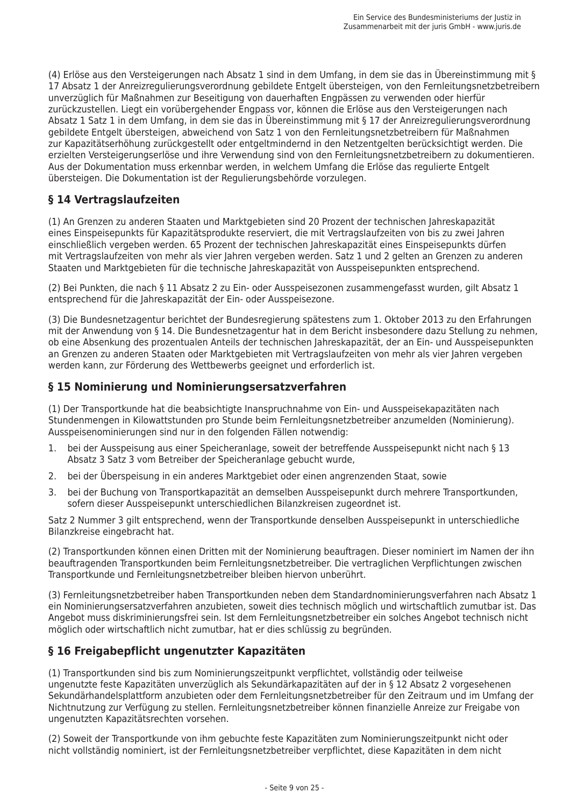(4) Erlöse aus den Versteigerungen nach Absatz 1 sind in dem Umfang, in dem sie das in Übereinstimmung mit § 17 Absatz 1 der Anreizregulierungsverordnung gebildete Entgelt übersteigen, von den Fernleitungsnetzbetreibern unverzüglich für Maßnahmen zur Beseitigung von dauerhaften Engpässen zu verwenden oder hierfür zurückzustellen. Liegt ein vorübergehender Engpass vor, können die Erlöse aus den Versteigerungen nach Absatz 1 Satz 1 in dem Umfang, in dem sie das in Übereinstimmung mit § 17 der Anreizregulierungsverordnung gebildete Entgelt übersteigen, abweichend von Satz 1 von den Fernleitungsnetzbetreibern für Maßnahmen zur Kapazitätserhöhung zurückgestellt oder entgeltmindernd in den Netzentgelten berücksichtigt werden. Die erzielten Versteigerungserlöse und ihre Verwendung sind von den Fernleitungsnetzbetreibern zu dokumentieren. Aus der Dokumentation muss erkennbar werden, in welchem Umfang die Erlöse das regulierte Entgelt übersteigen. Die Dokumentation ist der Regulierungsbehörde vorzulegen.

## § 14 Vertragslaufzeiten

(1) An Grenzen zu anderen Staaten und Marktgebieten sind 20 Prozent der technischen Jahreskapazität eines Einspeisepunkts für Kapazitätsprodukte reserviert, die mit Vertragslaufzeiten von bis zu zwei lahren einschließlich vergeben werden. 65 Prozent der technischen Jahreskapazität eines Einspeisepunkts dürfen mit Vertragslaufzeiten von mehr als vier lahren vergeben werden. Satz 1 und 2 gelten an Grenzen zu anderen Staaten und Marktgebieten für die technische Jahreskapazität von Ausspeisepunkten entsprechend.

(2) Bei Punkten, die nach § 11 Absatz 2 zu Ein- oder Ausspeisezonen zusammengefasst wurden, gilt Absatz 1 entsprechend für die lahreskapazität der Ein- oder Ausspeisezone.

(3) Die Bundesnetzagentur berichtet der Bundesregierung spätestens zum 1. Oktober 2013 zu den Erfahrungen mit der Anwendung von § 14. Die Bundesnetzagentur hat in dem Bericht insbesondere dazu Stellung zu nehmen. ob eine Absenkung des prozentualen Anteils der technischen lahreskapazität, der an Ein- und Ausspeisepunkten an Grenzen zu anderen Staaten oder Marktgebieten mit Vertragslaufzeiten von mehr als vier lahren vergeben werden kann, zur Förderung des Wettbewerbs geeignet und erforderlich ist.

### § 15 Nominierung und Nominierungsersatzverfahren

(1) Der Transportkunde hat die beabsichtigte Inanspruchnahme von Ein- und Ausspeisekapazitäten nach Stundenmengen in Kilowattstunden pro Stunde beim Fernleitungsnetzbetreiber anzumelden (Nominierung). Ausspeisenominierungen sind nur in den folgenden Fällen notwendig:

- bei der Ausspeisung aus einer Speicheranlage, soweit der betreffende Ausspeisepunkt nicht nach § 13  $\mathbf{1}$ Absatz 3 Satz 3 vom Betreiber der Speicheranlage gebucht wurde,
- $2.$ bei der Überspeisung in ein anderes Marktgebiet oder einen angrenzenden Staat, sowie
- $\overline{3}$ . bei der Buchung von Transportkapazität an demselben Ausspeisepunkt durch mehrere Transportkunden, sofern dieser Ausspeisepunkt unterschiedlichen Bilanzkreisen zugeordnet ist.

Satz 2 Nummer 3 gilt entsprechend, wenn der Transportkunde denselben Ausspeisepunkt in unterschiedliche Bilanzkreise eingebracht hat.

(2) Transportkunden können einen Dritten mit der Nominierung beauftragen. Dieser nominiert im Namen der ihn beauftragenden Transportkunden beim Fernleitungsnetzbetreiber. Die vertraglichen Verpflichtungen zwischen Transportkunde und Fernleitungsnetzbetreiber bleiben hiervon unberührt.

(3) Fernleitungsnetzbetreiber haben Transportkunden neben dem Standardnominierungsverfahren nach Absatz 1 ein Nominierungsersatzverfahren anzubieten, soweit dies technisch möglich und wirtschaftlich zumutbar ist. Das Angebot muss diskriminierungsfrei sein. Ist dem Fernleitungsnetzbetreiber ein solches Angebot technisch nicht möglich oder wirtschaftlich nicht zumutbar, hat er dies schlüssig zu begründen.

## § 16 Freigabepflicht ungenutzter Kapazitäten

(1) Transportkunden sind bis zum Nominierungszeitpunkt verpflichtet, vollständig oder teilweise ungenutzte feste Kapazitäten unverzüglich als Sekundärkapazitäten auf der in § 12 Absatz 2 vorgesehenen Sekundärhandelsplattform anzubieten oder dem Fernleitungsnetzbetreiber für den Zeitraum und im Umfang der Nichtnutzung zur Verfügung zu stellen. Fernleitungsnetzbetreiber können finanzielle Anreize zur Freigabe von ungenutzten Kapazitätsrechten vorsehen.

(2) Soweit der Transportkunde von ihm gebuchte feste Kapazitäten zum Nominierungszeitpunkt nicht oder nicht vollständig nominiert, ist der Fernleitungsnetzbetreiber verpflichtet, diese Kapazitäten in dem nicht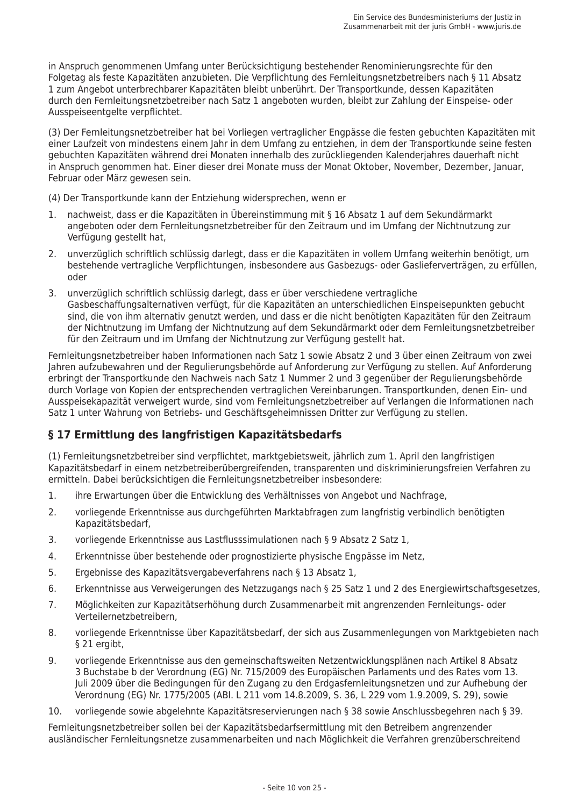in Anspruch genommenen Umfang unter Berücksichtigung bestehender Renominierungsrechte für den Folgetag als feste Kapazitäten anzubieten. Die Verpflichtung des Fernleitungsnetzbetreibers nach § 11 Absatz 1 zum Angebot unterbrechbarer Kapazitäten bleibt unberührt. Der Transportkunde, dessen Kapazitäten durch den Fernleitungsnetzbetreiber nach Satz 1 angeboten wurden, bleibt zur Zahlung der Einspeise- oder Ausspeiseentgelte verpflichtet.

(3) Der Fernleitungsnetzbetreiber hat bei Vorliegen vertraglicher Engpässe die festen gebuchten Kapazitäten mit einer Laufzeit von mindestens einem Jahr in dem Umfang zu entziehen, in dem der Transportkunde seine festen gebuchten Kapazitäten während drei Monaten innerhalb des zurückliegenden Kalenderjahres dauerhaft nicht in Anspruch genommen hat. Einer dieser drei Monate muss der Monat Oktober, November, Dezember, Januar, Februar oder März gewesen sein.

(4) Der Transportkunde kann der Entziehung widersprechen, wenn er

- nachweist, dass er die Kapazitäten in Übereinstimmung mit § 16 Absatz 1 auf dem Sekundärmarkt  $1.$ angeboten oder dem Fernleitungsnetzbetreiber für den Zeitraum und im Umfang der Nichtnutzung zur Verfügung gestellt hat,
- unverzüglich schriftlich schlüssig darlegt, dass er die Kapazitäten in vollem Umfang weiterhin benötigt, um  $2.$ bestehende vertragliche Verpflichtungen, insbesondere aus Gasbezugs- oder Gaslieferverträgen, zu erfüllen, oder
- $3<sub>1</sub>$ unverzüglich schriftlich schlüssig darlegt, dass er über verschiedene vertragliche Gasbeschaffungsalternativen verfügt, für die Kapazitäten an unterschiedlichen Einspeisepunkten gebucht sind, die von ihm alternativ genutzt werden, und dass er die nicht benötigten Kapazitäten für den Zeitraum der Nichtnutzung im Umfang der Nichtnutzung auf dem Sekundärmarkt oder dem Fernleitungsnetzbetreiber für den Zeitraum und im Umfang der Nichtnutzung zur Verfügung gestellt hat.

Fernleitungsnetzbetreiber haben Informationen nach Satz 1 sowie Absatz 2 und 3 über einen Zeitraum von zwei Jahren aufzubewahren und der Regulierungsbehörde auf Anforderung zur Verfügung zu stellen. Auf Anforderung erbringt der Transportkunde den Nachweis nach Satz 1 Nummer 2 und 3 gegenüber der Regulierungsbehörde durch Vorlage von Kopien der entsprechenden vertraglichen Vereinbarungen. Transportkunden, denen Ein- und Ausspeisekapazität verweigert wurde, sind vom Fernleitungsnetzbetreiber auf Verlangen die Informationen nach Satz 1 unter Wahrung von Betriebs- und Geschäftsgeheimnissen Dritter zur Verfügung zu stellen.

#### § 17 Ermittlung des langfristigen Kapazitätsbedarfs

(1) Fernleitungsnetzbetreiber sind verpflichtet, marktgebietsweit, jährlich zum 1. April den langfristigen Kapazitätsbedarf in einem netzbetreiberübergreifenden, transparenten und diskriminierungsfreien Verfahren zu ermitteln. Dabei berücksichtigen die Fernleitungsnetzbetreiber insbesondere:

- $1.$ ihre Erwartungen über die Entwicklung des Verhältnisses von Angebot und Nachfrage,
- $\mathcal{L}$ vorliegende Erkenntnisse aus durchgeführten Marktabfragen zum langfristig verbindlich benötigten Kapazitätsbedarf,
- vorliegende Erkenntnisse aus Lastflusssimulationen nach § 9 Absatz 2 Satz 1,  $\overline{3}$ .
- 4. Erkenntnisse über bestehende oder prognostizierte physische Engpässe im Netz,
- Ergebnisse des Kapazitätsvergabeverfahrens nach § 13 Absatz 1. 5.
- 6. Erkenntnisse aus Verweigerungen des Netzzugangs nach § 25 Satz 1 und 2 des Energiewirtschaftsgesetzes,
- Möglichkeiten zur Kapazitätserhöhung durch Zusammenarbeit mit angrenzenden Fernleitungs- oder  $7<sub>1</sub>$ Verteilernetzbetreibern.
- vorliegende Erkenntnisse über Kapazitätsbedarf, der sich aus Zusammenlegungen von Marktgebieten nach 8. § 21 ergibt,
- $\mathsf{Q}$ vorliegende Erkenntnisse aus den gemeinschaftsweiten Netzentwicklungsplänen nach Artikel 8 Absatz 3 Buchstabe b der Verordnung (EG) Nr. 715/2009 des Europäischen Parlaments und des Rates vom 13. Juli 2009 über die Bedingungen für den Zugang zu den Erdgasfernleitungsnetzen und zur Aufhebung der Verordnung (EG) Nr. 1775/2005 (ABI. L 211 vom 14.8.2009, S. 36, L 229 vom 1.9.2009, S. 29), sowie
- 10. vorliegende sowie abgelehnte Kapazitätsreservierungen nach § 38 sowie Anschlussbegehren nach § 39.

Fernleitungsnetzbetreiber sollen bei der Kapazitätsbedarfsermittlung mit den Betreibern angrenzender ausländischer Fernleitungsnetze zusammenarbeiten und nach Möglichkeit die Verfahren grenzüberschreitend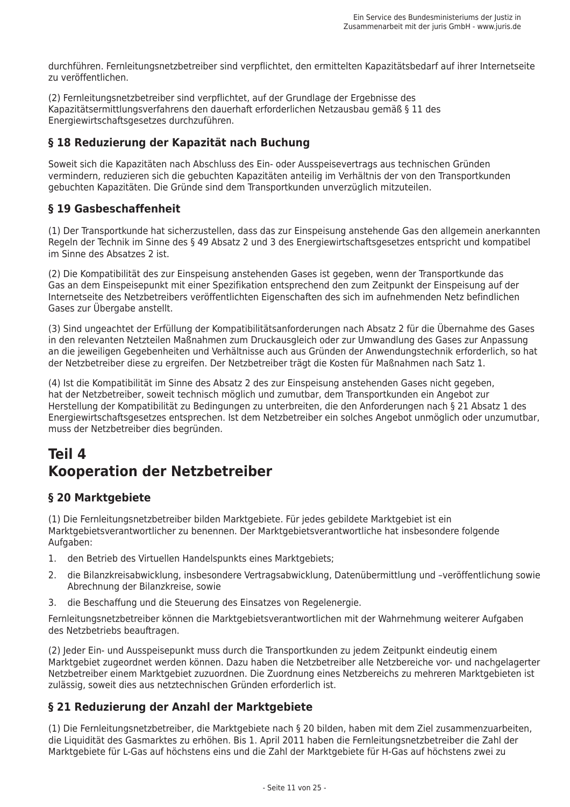durchführen. Fernleitungsnetzbetreiber sind verpflichtet, den ermittelten Kapazitätsbedarf auf ihrer Internetseite zu veröffentlichen.

(2) Fernleitungsnetzbetreiber sind verpflichtet, auf der Grundlage der Ergebnisse des Kapazitätsermittlungsverfahrens den dauerhaft erforderlichen Netzausbau gemäß § 11 des Energiewirtschaftsgesetzes durchzuführen.

## § 18 Reduzierung der Kapazität nach Buchung

Soweit sich die Kapazitäten nach Abschluss des Ein- oder Ausspeisevertrags aus technischen Gründen vermindern, reduzieren sich die gebuchten Kapazitäten anteilig im Verhältnis der von den Transportkunden gebuchten Kapazitäten. Die Gründe sind dem Transportkunden unverzüglich mitzuteilen.

## § 19 Gasbeschaffenheit

(1) Der Transportkunde hat sicherzustellen, dass das zur Einspeisung anstehende Gas den allgemein anerkannten Regeln der Technik im Sinne des § 49 Absatz 2 und 3 des Energiewirtschaftsgesetzes entspricht und kompatibel im Sinne des Absatzes 2 ist.

(2) Die Kompatibilität des zur Einspeisung anstehenden Gases ist gegeben, wenn der Transportkunde das Gas an dem Einspeisepunkt mit einer Spezifikation entsprechend den zum Zeitpunkt der Einspeisung auf der Internetseite des Netzbetreibers veröffentlichten Eigenschaften des sich im aufnehmenden Netz befindlichen Gases zur Übergabe anstellt.

(3) Sind ungeachtet der Erfüllung der Kompatibilitätsanforderungen nach Absatz 2 für die Übernahme des Gases in den relevanten Netzteilen Maßnahmen zum Druckausgleich oder zur Umwandlung des Gases zur Anpassung an die jeweiligen Gegebenheiten und Verhältnisse auch aus Gründen der Anwendungstechnik erforderlich, so hat der Netzbetreiber diese zu ergreifen. Der Netzbetreiber trägt die Kosten für Maßnahmen nach Satz 1.

(4) Ist die Kompatibilität im Sinne des Absatz 2 des zur Einspeisung anstehenden Gases nicht gegeben, hat der Netzbetreiber, soweit technisch möglich und zumutbar, dem Transportkunden ein Angebot zur Herstellung der Kompatibilität zu Bedingungen zu unterbreiten, die den Anforderungen nach § 21 Absatz 1 des Energiewirtschaftsgesetzes entsprechen. Ist dem Netzbetreiber ein solches Angebot unmöglich oder unzumutbar, muss der Netzbetreiber dies begründen.

# Teil 4 **Kooperation der Netzbetreiber**

## § 20 Marktgebiete

(1) Die Fernleitungsnetzbetreiber bilden Marktgebiete. Für jedes gebildete Marktgebiet ist ein Marktgebietsverantwortlicher zu benennen. Der Marktgebietsverantwortliche hat insbesondere folgende Aufgaben:

- $\mathbf{1}$ . den Betrieb des Virtuellen Handelspunkts eines Marktgebiets;
- $2<sub>1</sub>$ die Bilanzkreisabwicklung, insbesondere Vertragsabwicklung, Datenübermittlung und -veröffentlichung sowie Abrechnung der Bilanzkreise, sowie
- die Beschaffung und die Steuerung des Einsatzes von Regelenergie. 3.

Fernleitungsnetzbetreiber können die Marktgebietsverantwortlichen mit der Wahrnehmung weiterer Aufgaben des Netzbetriebs beauftragen.

(2) Jeder Ein- und Ausspeisepunkt muss durch die Transportkunden zu jedem Zeitpunkt eindeutig einem Marktgebiet zugeordnet werden können. Dazu haben die Netzbetreiber alle Netzbereiche vor- und nachgelagerter Netzbetreiber einem Marktgebiet zuzuordnen. Die Zuordnung eines Netzbereichs zu mehreren Marktgebieten ist zulässig, soweit dies aus netztechnischen Gründen erforderlich ist.

## § 21 Reduzierung der Anzahl der Marktgebiete

(1) Die Fernleitungsnetzbetreiber, die Marktgebiete nach § 20 bilden, haben mit dem Ziel zusammenzuarbeiten, die Liquidität des Gasmarktes zu erhöhen. Bis 1. April 2011 haben die Fernleitungsnetzbetreiber die Zahl der Marktgebiete für L-Gas auf höchstens eins und die Zahl der Marktgebiete für H-Gas auf höchstens zwei zu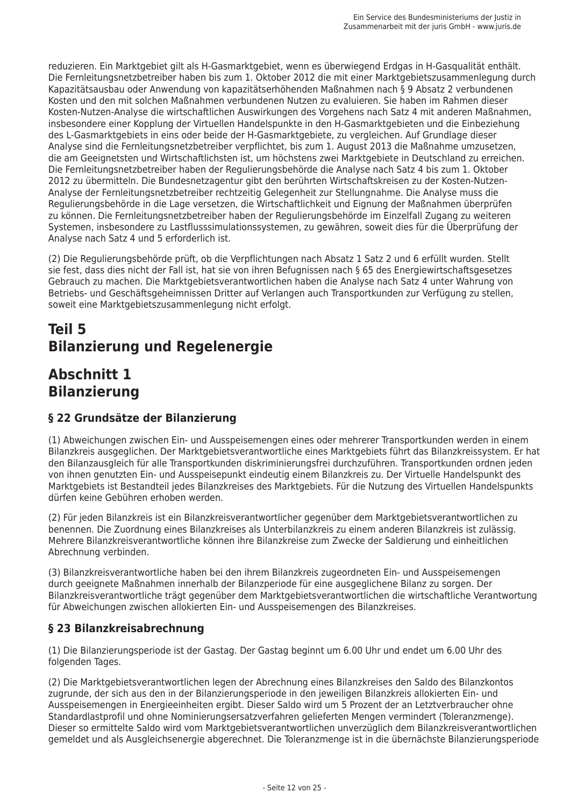reduzieren. Ein Marktgebiet gilt als H-Gasmarktgebiet, wenn es überwiegend Erdgas in H-Gasqualität enthält. Die Fernleitungsnetzbetreiber haben bis zum 1. Oktober 2012 die mit einer Marktgebietszusammenlegung durch Kapazitätsausbau oder Anwendung von kapazitätserhöhenden Maßnahmen nach § 9 Absatz 2 verbundenen Kosten und den mit solchen Maßnahmen verbundenen Nutzen zu evaluieren. Sie haben im Rahmen dieser Kosten-Nutzen-Analyse die wirtschaftlichen Auswirkungen des Vorgehens nach Satz 4 mit anderen Maßnahmen, insbesondere einer Kopplung der Virtuellen Handelspunkte in den H-Gasmarktgebieten und die Einbeziehung des L-Gasmarktgebiets in eins oder beide der H-Gasmarktgebiete, zu vergleichen. Auf Grundlage dieser Analyse sind die Fernleitungsnetzbetreiber verpflichtet, bis zum 1. August 2013 die Maßnahme umzusetzen, die am Geeignetsten und Wirtschaftlichsten ist, um höchstens zwei Marktgebiete in Deutschland zu erreichen. Die Fernleitungsnetzbetreiber haben der Regulierungsbehörde die Analyse nach Satz 4 bis zum 1. Oktober 2012 zu übermitteln. Die Bundesnetzagentur gibt den berührten Wirtschaftskreisen zu der Kosten-Nutzen-Analyse der Fernleitungsnetzbetreiber rechtzeitig Gelegenheit zur Stellungnahme. Die Analyse muss die Regulierungsbehörde in die Lage versetzen, die Wirtschaftlichkeit und Eignung der Maßnahmen überprüfen zu können. Die Fernleitungsnetzbetreiber haben der Regulierungsbehörde im Einzelfall Zugang zu weiteren Systemen, insbesondere zu Lastflusssimulationssystemen, zu gewähren, soweit dies für die Überprüfung der Analyse nach Satz 4 und 5 erforderlich ist.

(2) Die Regulierungsbehörde prüft, ob die Verpflichtungen nach Absatz 1 Satz 2 und 6 erfüllt wurden. Stellt sie fest, dass dies nicht der Fall ist, hat sie von ihren Befugnissen nach § 65 des Energiewirtschaftsgesetzes Gebrauch zu machen. Die Marktgebietsverantwortlichen haben die Analyse nach Satz 4 unter Wahrung von Betriebs- und Geschäftsgeheimnissen Dritter auf Verlangen auch Transportkunden zur Verfügung zu stellen, soweit eine Marktgebietszusammenlegung nicht erfolgt.

# Teil 5 **Bilanzierung und Regelenergie**

# **Abschnitt 1 Bilanzierung**

## § 22 Grundsätze der Bilanzierung

(1) Abweichungen zwischen Ein- und Ausspeisemengen eines oder mehrerer Transportkunden werden in einem Bilanzkreis ausgeglichen. Der Marktgebietsverantwortliche eines Marktgebiets führt das Bilanzkreissystem. Er hat den Bilanzausgleich für alle Transportkunden diskriminierungsfrei durchzuführen. Transportkunden ordnen jeden von ihnen genutzten Ein- und Ausspeisepunkt eindeutig einem Bilanzkreis zu. Der Virtuelle Handelspunkt des Marktgebiets ist Bestandteil jedes Bilanzkreises des Marktgebiets. Für die Nutzung des Virtuellen Handelspunkts dürfen keine Gebühren erhoben werden.

(2) Für jeden Bilanzkreis ist ein Bilanzkreisverantwortlicher gegenüber dem Marktgebietsverantwortlichen zu benennen. Die Zuordnung eines Bilanzkreises als Unterbilanzkreis zu einem anderen Bilanzkreis ist zulässig. Mehrere Bilanzkreisverantwortliche können ihre Bilanzkreise zum Zwecke der Saldierung und einheitlichen Abrechnung verbinden.

(3) Bilanzkreisverantwortliche haben bei den ihrem Bilanzkreis zugeordneten Ein- und Ausspeisemengen durch geeignete Maßnahmen innerhalb der Bilanzperiode für eine ausgeglichene Bilanz zu sorgen. Der Bilanzkreisverantwortliche trägt gegenüber dem Marktgebietsverantwortlichen die wirtschaftliche Verantwortung für Abweichungen zwischen allokierten Ein- und Ausspeisemengen des Bilanzkreises.

# § 23 Bilanzkreisabrechnung

(1) Die Bilanzierungsperiode ist der Gastag. Der Gastag beginnt um 6.00 Uhr und endet um 6.00 Uhr des folgenden Tages.

(2) Die Marktgebietsverantwortlichen legen der Abrechnung eines Bilanzkreises den Saldo des Bilanzkontos zugrunde, der sich aus den in der Bilanzierungsperiode in den jeweiligen Bilanzkreis allokierten Ein- und Ausspeisemengen in Energieeinheiten ergibt. Dieser Saldo wird um 5 Prozent der an Letztverbraucher ohne Standardlastprofil und ohne Nominierungsersatzverfahren gelieferten Mengen vermindert (Toleranzmenge). Dieser so ermittelte Saldo wird vom Marktgebietsverantwortlichen unverzüglich dem Bilanzkreisverantwortlichen gemeldet und als Ausgleichsenergie abgerechnet. Die Toleranzmenge ist in die übernächste Bilanzierungsperiode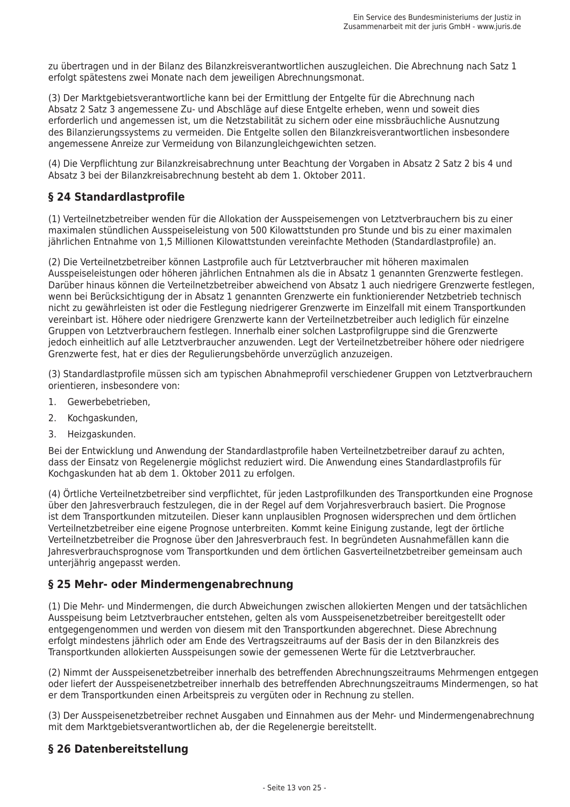zu übertragen und in der Bilanz des Bilanzkreisverantwortlichen auszugleichen. Die Abrechnung nach Satz 1 erfolgt spätestens zwei Monate nach dem jeweiligen Abrechnungsmonat.

(3) Der Marktgebietsverantwortliche kann bei der Ermittlung der Entgelte für die Abrechnung nach Absatz 2 Satz 3 angemessene Zu- und Abschläge auf diese Entgelte erheben, wenn und soweit dies erforderlich und angemessen ist, um die Netzstabilität zu sichern oder eine missbräuchliche Ausnutzung des Bilanzierungssystems zu vermeiden. Die Entgelte sollen den Bilanzkreisverantwortlichen insbesondere angemessene Anreize zur Vermeidung von Bilanzungleichgewichten setzen.

(4) Die Verpflichtung zur Bilanzkreisabrechnung unter Beachtung der Vorgaben in Absatz 2 Satz 2 bis 4 und Absatz 3 bei der Bilanzkreisabrechnung besteht ab dem 1. Oktober 2011.

### § 24 Standardlastprofile

(1) Verteilnetzbetreiber wenden für die Allokation der Ausspeisemengen von Letztverbrauchern bis zu einer maximalen stündlichen Ausspeiseleistung von 500 Kilowattstunden pro Stunde und bis zu einer maximalen jährlichen Entnahme von 1,5 Millionen Kilowattstunden vereinfachte Methoden (Standardlastprofile) an.

(2) Die Verteilnetzbetreiber können Lastprofile auch für Letztverbraucher mit höheren maximalen Ausspeiseleistungen oder höheren jährlichen Entnahmen als die in Absatz 1 genannten Grenzwerte festlegen. Darüber hinaus können die Verteilnetzbetreiber abweichend von Absatz 1 auch niedrigere Grenzwerte festlegen. wenn bei Berücksichtigung der in Absatz 1 genannten Grenzwerte ein funktionierender Netzbetrieb technisch nicht zu gewährleisten ist oder die Festlegung niedrigerer Grenzwerte im Einzelfall mit einem Transportkunden vereinbart ist. Höhere oder niedrigere Grenzwerte kann der Verteilnetzbetreiber auch lediglich für einzelne Gruppen von Letztverbrauchern festlegen, Innerhalb einer solchen Lastprofilgruppe sind die Grenzwerte jedoch einheitlich auf alle Letztverbraucher anzuwenden. Legt der Verteilnetzbetreiber höhere oder niedrigere Grenzwerte fest, hat er dies der Regulierungsbehörde unverzüglich anzuzeigen.

(3) Standardlastprofile müssen sich am typischen Abnahmeprofil verschiedener Gruppen von Letztverbrauchern orientieren, insbesondere von:

- $\mathbf{1}$ Gewerbebetrieben,
- $2.$ Kochgaskunden,
- Heizgaskunden.  $\overline{3}$ .

Bei der Entwicklung und Anwendung der Standardlastprofile haben Verteilnetzbetreiber darauf zu achten, dass der Einsatz von Regelenergie möglichst reduziert wird. Die Anwendung eines Standardlastprofils für Kochgaskunden hat ab dem 1. Oktober 2011 zu erfolgen.

(4) Örtliche Verteilnetzbetreiber sind verpflichtet, für jeden Lastprofilkunden des Transportkunden eine Prognose über den Jahresverbrauch festzulegen, die in der Regel auf dem Vorjahresverbrauch basiert. Die Prognose ist dem Transportkunden mitzuteilen. Dieser kann unplausiblen Prognosen widersprechen und dem örtlichen Verteilnetzbetreiber eine eigene Prognose unterbreiten. Kommt keine Einigung zustande, legt der örtliche Verteilnetzbetreiber die Prognose über den Jahresverbrauch fest. In begründeten Ausnahmefällen kann die Jahresverbrauchsprognose vom Transportkunden und dem örtlichen Gasverteilnetzbetreiber gemeinsam auch unterjährig angepasst werden.

#### § 25 Mehr- oder Mindermengenabrechnung

(1) Die Mehr- und Mindermengen, die durch Abweichungen zwischen allokierten Mengen und der tatsächlichen Ausspeisung beim Letztverbraucher entstehen, gelten als vom Ausspeisenetzbetreiber bereitgestellt oder entgegengenommen und werden von diesem mit den Transportkunden abgerechnet. Diese Abrechnung erfolgt mindestens jährlich oder am Ende des Vertragszeitraums auf der Basis der in den Bilanzkreis des Transportkunden allokierten Ausspeisungen sowie der gemessenen Werte für die Letztverbraucher.

(2) Nimmt der Ausspeisenetzbetreiber innerhalb des betreffenden Abrechnungszeitraums Mehrmengen entgegen oder liefert der Ausspeisenetzbetreiber innerhalb des betreffenden Abrechnungszeitraums Mindermengen, so hat er dem Transportkunden einen Arbeitspreis zu vergüten oder in Rechnung zu stellen.

(3) Der Ausspeisenetzbetreiber rechnet Ausgaben und Einnahmen aus der Mehr- und Mindermengenabrechnung mit dem Marktgebietsverantwortlichen ab, der die Regelenergie bereitstellt.

#### § 26 Datenbereitstellung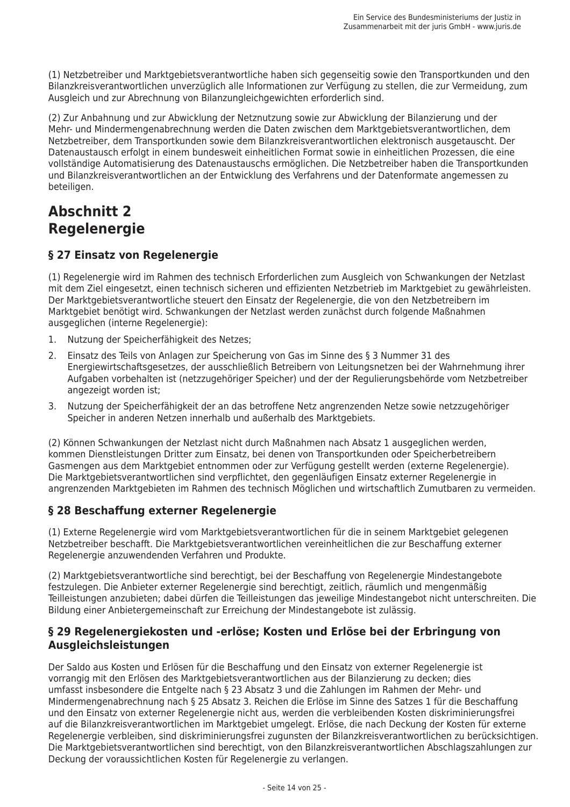(1) Netzbetreiber und Marktgebietsverantwortliche haben sich gegenseitig sowie den Transportkunden und den Bilanzkreisverantwortlichen unverzüglich alle Informationen zur Verfügung zu stellen, die zur Vermeidung, zum Ausgleich und zur Abrechnung von Bilanzungleichgewichten erforderlich sind.

(2) Zur Anbahnung und zur Abwicklung der Netznutzung sowie zur Abwicklung der Bilanzierung und der Mehr- und Mindermengenabrechnung werden die Daten zwischen dem Marktgebietsverantwortlichen, dem Netzbetreiber, dem Transportkunden sowie dem Bilanzkreisverantwortlichen elektronisch ausgetauscht. Der Datenaustausch erfolgt in einem bundesweit einheitlichen Format sowie in einheitlichen Prozessen, die eine vollständige Automatisierung des Datenaustauschs ermöglichen. Die Netzbetreiber haben die Transportkunden und Bilanzkreisverantwortlichen an der Entwicklung des Verfahrens und der Datenformate angemessen zu beteiligen.

# **Abschnitt 2 Reaeleneraie**

## § 27 Einsatz von Regelenergie

(1) Regelenergie wird im Rahmen des technisch Erforderlichen zum Ausgleich von Schwankungen der Netzlast mit dem Ziel eingesetzt, einen technisch sicheren und effizienten Netzbetrieb im Marktgebiet zu gewährleisten. Der Marktgebietsverantwortliche steuert den Einsatz der Regelenergie, die von den Netzbetreibern im Marktgebiet benötigt wird. Schwankungen der Netzlast werden zunächst durch folgende Maßnahmen ausgeglichen (interne Regelenergie):

- 1. Nutzung der Speicherfähigkeit des Netzes;
- $2.$ Einsatz des Teils von Anlagen zur Speicherung von Gas im Sinne des § 3 Nummer 31 des Energiewirtschaftsgesetzes, der ausschließlich Betreibern von Leitungsnetzen bei der Wahrnehmung ihrer Aufgaben vorbehalten ist (netzzugehöriger Speicher) und der der Regulierungsbehörde vom Netzbetreiber angezeigt worden ist;
- $\overline{3}$ Nutzung der Speicherfähigkeit der an das betroffene Netz angrenzenden Netze sowie netzzugehöriger Speicher in anderen Netzen innerhalb und außerhalb des Marktgebiets.

(2) Können Schwankungen der Netzlast nicht durch Maßnahmen nach Absatz 1 ausgeglichen werden, kommen Dienstleistungen Dritter zum Einsatz, bei denen von Transportkunden oder Speicherbetreibern Gasmengen aus dem Marktgebiet entnommen oder zur Verfügung gestellt werden (externe Regelenergie). Die Marktgebietsverantwortlichen sind verpflichtet, den gegenläufigen Einsatz externer Regelenergie in angrenzenden Marktgebieten im Rahmen des technisch Möglichen und wirtschaftlich Zumutbaren zu vermeiden.

## § 28 Beschaffung externer Regelenergie

(1) Externe Regelenergie wird vom Marktgebietsverantwortlichen für die in seinem Marktgebiet gelegenen Netzbetreiber beschafft. Die Marktgebietsverantwortlichen vereinheitlichen die zur Beschaffung externer Regelenergie anzuwendenden Verfahren und Produkte.

(2) Marktgebietsverantwortliche sind berechtigt, bei der Beschaffung von Regelenergie Mindestangebote festzulegen. Die Anbieter externer Regelenergie sind berechtigt, zeitlich, räumlich und mengenmäßig Teilleistungen anzubieten; dabei dürfen die Teilleistungen das jeweilige Mindestangebot nicht unterschreiten. Die Bildung einer Anbietergemeinschaft zur Erreichung der Mindestangebote ist zulässig.

### § 29 Regelenergiekosten und -erlöse; Kosten und Erlöse bei der Erbringung von Ausgleichsleistungen

Der Saldo aus Kosten und Erlösen für die Beschaffung und den Einsatz von externer Regelenergie ist vorrangig mit den Erlösen des Marktgebietsverantwortlichen aus der Bilanzierung zu decken; dies umfasst insbesondere die Entgelte nach § 23 Absatz 3 und die Zahlungen im Rahmen der Mehr- und Mindermengenabrechnung nach § 25 Absatz 3. Reichen die Erlöse im Sinne des Satzes 1 für die Beschaffung und den Einsatz von externer Regelenergie nicht aus, werden die verbleibenden Kosten diskriminierungsfrei auf die Bilanzkreisverantwortlichen im Marktgebiet umgelegt. Erlöse, die nach Deckung der Kosten für externe Regelenergie verbleiben, sind diskriminierungsfrei zugunsten der Bilanzkreisverantwortlichen zu berücksichtigen. Die Marktgebietsverantwortlichen sind berechtigt, von den Bilanzkreisverantwortlichen Abschlagszahlungen zur Deckung der voraussichtlichen Kosten für Regelenergie zu verlangen.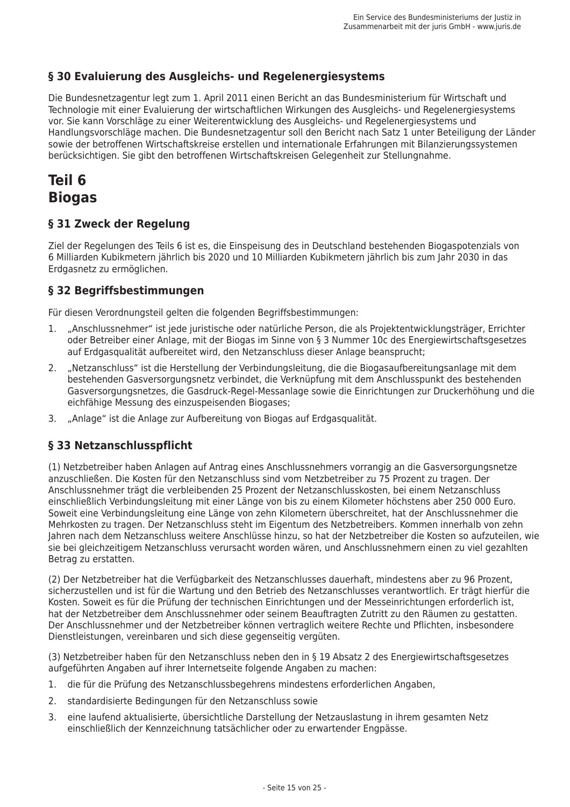## § 30 Evaluierung des Ausgleichs- und Regelenergiesystems

Die Bundesnetzagentur legt zum 1. April 2011 einen Bericht an das Bundesministerium für Wirtschaft und Technologie mit einer Evaluierung der wirtschaftlichen Wirkungen des Ausgleichs- und Regelenergiesystems vor. Sie kann Vorschläge zu einer Weiterentwicklung des Ausgleichs- und Regelenergiesystems und Handlungsvorschläge machen. Die Bundesnetzagentur soll den Bericht nach Satz 1 unter Beteiligung der Länder sowie der betroffenen Wirtschaftskreise erstellen und internationale Erfahrungen mit Bilanzierungssystemen berücksichtigen. Sie gibt den betroffenen Wirtschaftskreisen Gelegenheit zur Stellungnahme.

# Teil 6 **Biogas**

#### § 31 Zweck der Regelung

Ziel der Regelungen des Teils 6 ist es, die Einspeisung des in Deutschland bestehenden Biogaspotenzials von 6 Milliarden Kubikmetern jährlich bis 2020 und 10 Milliarden Kubikmetern jährlich bis zum Jahr 2030 in das Erdgasnetz zu ermöglichen.

### § 32 Begriffsbestimmungen

Für diesen Verordnungsteil gelten die folgenden Begriffsbestimmungen:

- "Anschlussnehmer" ist jede juristische oder natürliche Person, die als Projektentwicklungsträger, Errichter  $\mathbf{1}$ oder Betreiber einer Anlage, mit der Biogas im Sinne von § 3 Nummer 10c des Energiewirtschaftsgesetzes auf Erdgasqualität aufbereitet wird, den Netzanschluss dieser Anlage beansprucht:
- "Netzanschluss" ist die Herstellung der Verbindungsleitung, die die Biogasaufbereitungsanlage mit dem  $2.$ bestehenden Gasversorgungsnetz verbindet, die Verknüpfung mit dem Anschlusspunkt des bestehenden Gasversorgungsnetzes, die Gasdruck-Regel-Messanlage sowie die Einrichtungen zur Druckerhöhung und die eichfähige Messung des einzuspeisenden Biogases;
- 3. "Anlage" ist die Anlage zur Aufbereitung von Biogas auf Erdgasgualität.

## § 33 Netzanschlusspflicht

(1) Netzbetreiber haben Anlagen auf Antrag eines Anschlussnehmers vorrangig an die Gasversorgungsnetze anzuschließen. Die Kosten für den Netzanschluss sind vom Netzbetreiber zu 75 Prozent zu tragen. Der Anschlussnehmer trägt die verbleibenden 25 Prozent der Netzanschlusskosten, bei einem Netzanschluss einschließlich Verbindungsleitung mit einer Länge von bis zu einem Kilometer höchstens aber 250 000 Euro. Soweit eine Verbindungsleitung eine Länge von zehn Kilometern überschreitet, hat der Anschlussnehmer die Mehrkosten zu tragen. Der Netzanschluss steht im Eigentum des Netzbetreibers. Kommen innerhalb von zehn Jahren nach dem Netzanschluss weitere Anschlüsse hinzu, so hat der Netzbetreiber die Kosten so aufzuteilen, wie sie bei gleichzeitigem Netzanschluss verursacht worden wären, und Anschlussnehmern einen zu viel gezahlten Betrag zu erstatten.

(2) Der Netzbetreiber hat die Verfügbarkeit des Netzanschlusses dauerhaft, mindestens aber zu 96 Prozent, sicherzustellen und ist für die Wartung und den Betrieb des Netzanschlusses verantwortlich. Er trägt hierfür die Kosten. Soweit es für die Prüfung der technischen Einrichtungen und der Messeinrichtungen erforderlich ist, hat der Netzbetreiber dem Anschlussnehmer oder seinem Beauftragten Zutritt zu den Räumen zu gestatten. Der Anschlussnehmer und der Netzbetreiber können vertraglich weitere Rechte und Pflichten, insbesondere Dienstleistungen, vereinbaren und sich diese gegenseitig vergüten.

(3) Netzbetreiber haben für den Netzanschluss neben den in § 19 Absatz 2 des Energiewirtschaftsgesetzes aufgeführten Angaben auf ihrer Internetseite folgende Angaben zu machen:

- die für die Prüfung des Netzanschlussbegehrens mindestens erforderlichen Angaben,  $1 \quad$
- standardisierte Bedingungen für den Netzanschluss sowie  $\mathcal{P}$
- eine laufend aktualisierte, übersichtliche Darstellung der Netzauslastung in ihrem gesamten Netz  $\overline{3}$ . einschließlich der Kennzeichnung tatsächlicher oder zu erwartender Engpässe.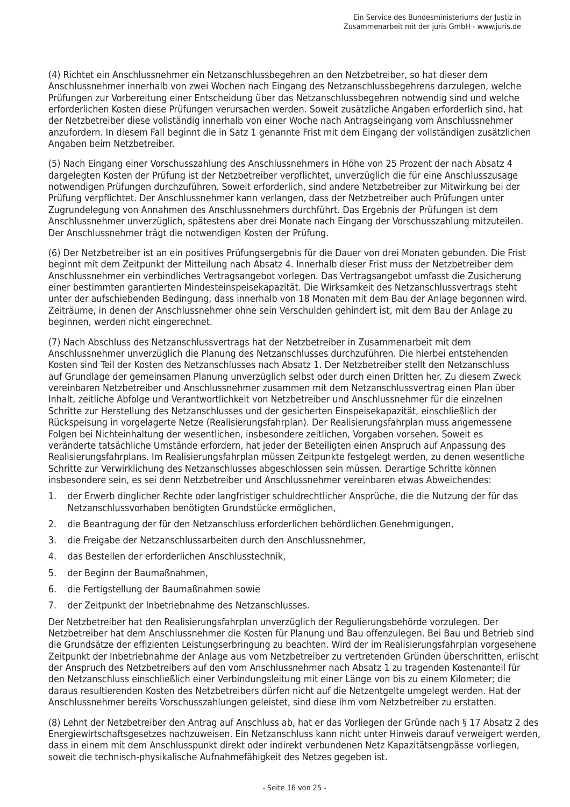(4) Richtet ein Anschlussnehmer ein Netzanschlussbegehren an den Netzbetreiber, so hat dieser dem Anschlussnehmer innerhalb von zwei Wochen nach Eingang des Netzanschlussbegehrens darzulegen, welche Prüfungen zur Vorbereitung einer Entscheidung über das Netzanschlussbegehren notwendig sind und welche erforderlichen Kosten diese Prüfungen verursachen werden. Soweit zusätzliche Angaben erforderlich sind, hat der Netzbetreiber diese vollständig innerhalb von einer Woche nach Antragseingang vom Anschlussnehmer anzufordern. In diesem Fall beginnt die in Satz 1 genannte Frist mit dem Eingang der vollständigen zusätzlichen Angaben beim Netzbetreiber.

(5) Nach Eingang einer Vorschusszahlung des Anschlussnehmers in Höhe von 25 Prozent der nach Absatz 4 dargelegten Kosten der Prüfung ist der Netzbetreiber verpflichtet, unverzüglich die für eine Anschlusszusage notwendigen Prüfungen durchzuführen. Soweit erforderlich, sind andere Netzbetreiber zur Mitwirkung bei der Prüfung verpflichtet. Der Anschlussnehmer kann verlangen, dass der Netzbetreiber auch Prüfungen unter Zugrundelegung von Annahmen des Anschlussnehmers durchführt. Das Ergebnis der Prüfungen ist dem Anschlussnehmer unverzüglich, spätestens aber drei Monate nach Eingang der Vorschusszahlung mitzuteilen. Der Anschlussnehmer trägt die notwendigen Kosten der Prüfung.

(6) Der Netzbetreiber ist an ein positives Prüfungsergebnis für die Dauer von drei Monaten gebunden. Die Frist beginnt mit dem Zeitpunkt der Mitteilung nach Absatz 4. Innerhalb dieser Frist muss der Netzbetreiber dem Anschlussnehmer ein verbindliches Vertragsangebot vorlegen. Das Vertragsangebot umfasst die Zusicherung einer bestimmten garantierten Mindesteinspeisekapazität. Die Wirksamkeit des Netzanschlussvertrags steht unter der aufschiebenden Bedingung, dass innerhalb von 18 Monaten mit dem Bau der Anlage begonnen wird. Zeiträume, in denen der Anschlussnehmer ohne sein Verschulden gehindert ist, mit dem Bau der Anlage zu beginnen, werden nicht eingerechnet.

(7) Nach Abschluss des Netzanschlussvertrags hat der Netzbetreiber in Zusammenarbeit mit dem Anschlussnehmer unverzüglich die Planung des Netzanschlusses durchzuführen. Die hierbei entstehenden Kosten sind Teil der Kosten des Netzanschlusses nach Absatz 1. Der Netzbetreiber stellt den Netzanschluss auf Grundlage der gemeinsamen Planung unverzüglich selbst oder durch einen Dritten her. Zu diesem Zweck vereinbaren Netzbetreiber und Anschlussnehmer zusammen mit dem Netzanschlussvertrag einen Plan über Inhalt, zeitliche Abfolge und Verantwortlichkeit von Netzbetreiber und Anschlussnehmer für die einzelnen Schritte zur Herstellung des Netzanschlusses und der gesicherten Einspeisekapazität, einschließlich der Rückspeisung in vorgelagerte Netze (Realisierungsfahrplan). Der Realisierungsfahrplan muss angemessene Folgen bei Nichteinhaltung der wesentlichen, insbesondere zeitlichen, Vorgaben vorsehen. Soweit es veränderte tatsächliche Umstände erfordern, hat jeder der Beteiligten einen Anspruch auf Anpassung des Realisierungsfahrplans. Im Realisierungsfahrplan müssen Zeitpunkte festgelegt werden, zu denen wesentliche Schritte zur Verwirklichung des Netzanschlusses abgeschlossen sein müssen. Derartige Schritte können insbesondere sein, es sei denn Netzbetreiber und Anschlussnehmer vereinbaren etwas Abweichendes:

- der Erwerb dinglicher Rechte oder langfristiger schuldrechtlicher Ansprüche, die die Nutzung der für das  $\mathbf{1}$ Netzanschlussvorhaben benötigten Grundstücke ermöglichen,
- die Beantragung der für den Netzanschluss erforderlichen behördlichen Genehmigungen,  $2.$
- die Freigabe der Netzanschlussarbeiten durch den Anschlussnehmer, 3.
- $\mathbf{\Delta}$ das Bestellen der erforderlichen Anschlusstechnik,
- 5. der Beginn der Baumaßnahmen.
- die Fertigstellung der Baumaßnahmen sowie 6.
- $7<sup>7</sup>$ der Zeitpunkt der Inbetriebnahme des Netzanschlusses.

Der Netzbetreiber hat den Realisierungsfahrplan unverzüglich der Regulierungsbehörde vorzulegen. Der Netzbetreiber hat dem Anschlussnehmer die Kosten für Planung und Bau offenzulegen. Bei Bau und Betrieb sind die Grundsätze der effizienten Leistungserbringung zu beachten. Wird der im Realisierungsfahrplan vorgesehene Zeitpunkt der Inbetriebnahme der Anlage aus vom Netzbetreiber zu vertretenden Gründen überschritten, erlischt der Anspruch des Netzbetreibers auf den vom Anschlussnehmer nach Absatz 1 zu tragenden Kostenanteil für den Netzanschluss einschließlich einer Verbindungsleitung mit einer Länge von bis zu einem Kilometer; die daraus resultierenden Kosten des Netzbetreibers dürfen nicht auf die Netzentgelte umgelegt werden. Hat der Anschlussnehmer bereits Vorschusszahlungen geleistet, sind diese ihm vom Netzbetreiber zu erstatten.

(8) Lehnt der Netzbetreiber den Antrag auf Anschluss ab, hat er das Vorliegen der Gründe nach § 17 Absatz 2 des Energiewirtschaftsgesetzes nachzuweisen. Ein Netzanschluss kann nicht unter Hinweis darauf verweigert werden, dass in einem mit dem Anschlusspunkt direkt oder indirekt verbundenen Netz Kapazitätsengpässe vorliegen, soweit die technisch-physikalische Aufnahmefähigkeit des Netzes gegeben ist.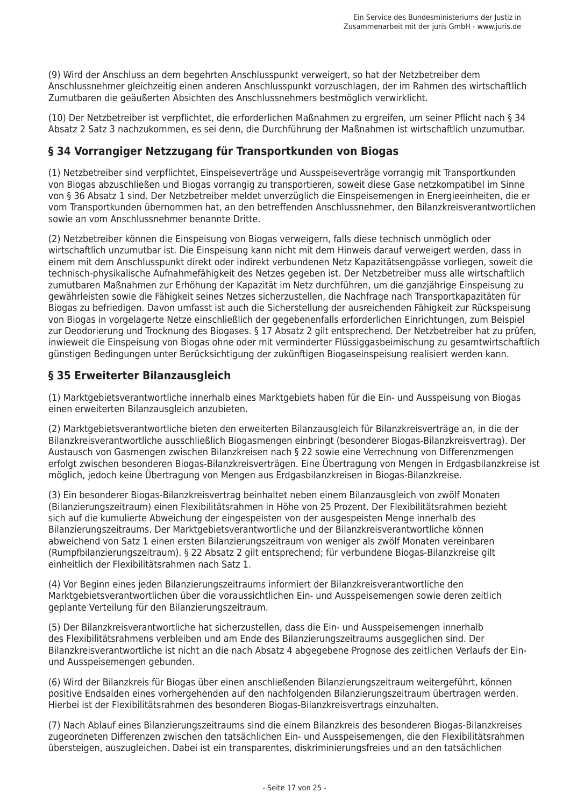(9) Wird der Anschluss an dem begehrten Anschlusspunkt verweigert, so hat der Netzbetreiber dem Anschlussnehmer gleichzeitig einen anderen Anschlusspunkt vorzuschlagen, der im Rahmen des wirtschaftlich Zumutbaren die geäußerten Absichten des Anschlussnehmers bestmöglich verwirklicht.

(10) Der Netzbetreiber ist verpflichtet, die erforderlichen Maßnahmen zu ergreifen, um seiner Pflicht nach § 34 Absatz 2 Satz 3 nachzukommen, es sei denn, die Durchführung der Maßnahmen ist wirtschaftlich unzumutbar.

### § 34 Vorrangiger Netzzugang für Transportkunden von Biogas

(1) Netzbetreiber sind verpflichtet. Einspeiseverträge und Ausspeiseverträge vorrangig mit Transportkunden von Biogas abzuschließen und Biogas vorrangig zu transportieren, soweit diese Gase netzkompatibel im Sinne von § 36 Absatz 1 sind. Der Netzbetreiber meldet unverzüglich die Einspeisemengen in Energieeinheiten, die er vom Transportkunden übernommen hat, an den betreffenden Anschlussnehmer, den Bilanzkreisverantwortlichen sowie an vom Anschlussnehmer benannte Dritte

(2) Netzbetreiber können die Einspeisung von Biogas verweigern, falls diese technisch unmöglich oder wirtschaftlich unzumutbar ist. Die Einspeisung kann nicht mit dem Hinweis darauf verweigert werden, dass in einem mit dem Anschlusspunkt direkt oder indirekt verbundenen Netz Kapazitätsengpässe vorliegen, soweit die technisch-physikalische Aufnahmefähigkeit des Netzes gegeben ist. Der Netzbetreiber muss alle wirtschaftlich zumutbaren Maßnahmen zur Erhöhung der Kapazität im Netz durchführen, um die ganziährige Einspeisung zu gewährleisten sowie die Fähigkeit seines Netzes sicherzustellen, die Nachfrage nach Transportkapazitäten für Biogas zu befriedigen. Davon umfasst ist auch die Sicherstellung der ausreichenden Fähigkeit zur Rückspeisung von Biogas in vorgelagerte Netze einschließlich der gegebenenfalls erforderlichen Einrichtungen, zum Beispiel zur Deodorierung und Trocknung des Biogases. § 17 Absatz 2 gilt entsprechend. Der Netzbetreiber hat zu prüfen. inwieweit die Einspeisung von Biogas ohne oder mit verminderter Flüssiggasbeimischung zu gesamtwirtschaftlich günstigen Bedingungen unter Berücksichtigung der zukünftigen Biogaseinspeisung realisiert werden kann.

### § 35 Erweiterter Bilanzausgleich

(1) Marktgebietsverantwortliche innerhalb eines Marktgebiets haben für die Ein- und Ausspeisung von Biogas einen erweiterten Bilanzausgleich anzubieten.

(2) Marktgebietsverantwortliche bieten den erweiterten Bilanzausgleich für Bilanzkreisverträge an, in die der Bilanzkreisverantwortliche ausschließlich Biogasmengen einbringt (besonderer Biogas-Bilanzkreisvertrag). Der Austausch von Gasmengen zwischen Bilanzkreisen nach § 22 sowie eine Verrechnung von Differenzmengen erfolgt zwischen besonderen Biogas-Bilanzkreisverträgen. Eine Übertragung von Mengen in Erdgasbilanzkreise ist möglich, jedoch keine Übertragung von Mengen aus Erdgasbilanzkreisen in Biogas-Bilanzkreise.

(3) Ein besonderer Biogas-Bilanzkreisvertrag beinhaltet neben einem Bilanzausgleich von zwölf Monaten (Bilanzierungszeitraum) einen Flexibilitätsrahmen in Höhe von 25 Prozent. Der Flexibilitätsrahmen bezieht sich auf die kumulierte Abweichung der eingespeisten von der ausgespeisten Menge innerhalb des Bilanzierungszeitraums. Der Marktgebietsverantwortliche und der Bilanzkreisverantwortliche können abweichend von Satz 1 einen ersten Bilanzierungszeitraum von weniger als zwölf Monaten vereinbaren (Rumpfbilanzierungszeitraum). § 22 Absatz 2 gilt entsprechend; für verbundene Biogas-Bilanzkreise gilt einheitlich der Flexibilitätsrahmen nach Satz 1.

(4) Vor Beginn eines jeden Bilanzierungszeitraums informiert der Bilanzkreisverantwortliche den Marktgebietsverantwortlichen über die voraussichtlichen Ein- und Ausspeisemengen sowie deren zeitlich geplante Verteilung für den Bilanzierungszeitraum.

(5) Der Bilanzkreisverantwortliche hat sicherzustellen, dass die Ein- und Ausspeisemengen innerhalb des Flexibilitätsrahmens verbleiben und am Ende des Bilanzierungszeitraums ausgeglichen sind. Der Bilanzkreisverantwortliche ist nicht an die nach Absatz 4 abgegebene Prognose des zeitlichen Verlaufs der Einund Ausspeisemengen gebunden.

(6) Wird der Bilanzkreis für Biogas über einen anschließenden Bilanzierungszeitraum weitergeführt, können positive Endsalden eines vorhergehenden auf den nachfolgenden Bilanzierungszeitraum übertragen werden. Hierbei ist der Flexibilitätsrahmen des besonderen Biogas-Bilanzkreisvertrags einzuhalten.

(7) Nach Ablauf eines Bilanzierungszeitraums sind die einem Bilanzkreis des besonderen Biogas-Bilanzkreises zugeordneten Differenzen zwischen den tatsächlichen Ein- und Ausspeisemengen, die den Flexibilitätsrahmen übersteigen, auszugleichen. Dabei ist ein transparentes, diskriminierungsfreies und an den tatsächlichen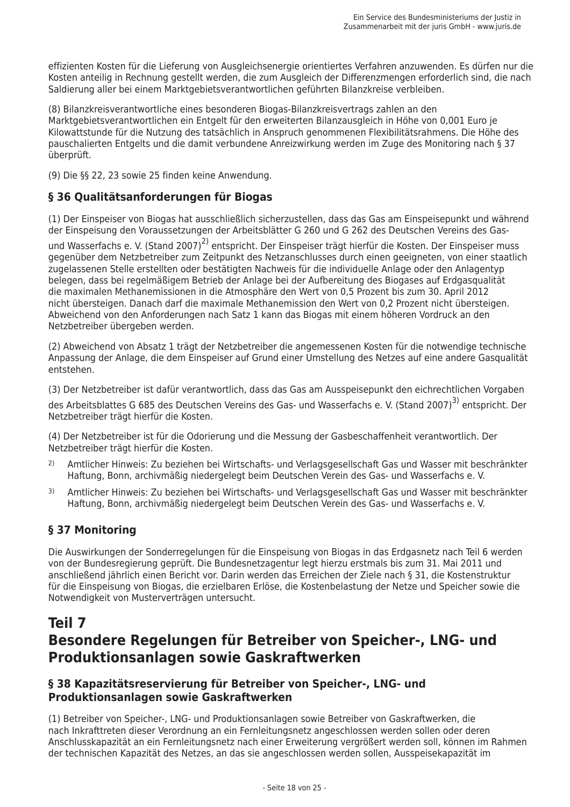effizienten Kosten für die Lieferung von Ausgleichsenergie orientiertes Verfahren anzuwenden. Es dürfen nur die Kosten anteilig in Rechnung gestellt werden, die zum Ausgleich der Differenzmengen erforderlich sind, die nach Saldierung aller bei einem Marktgebietsverantwortlichen geführten Bilanzkreise verbleiben.

(8) Bilanzkreisverantwortliche eines besonderen Biogas-Bilanzkreisvertrags zahlen an den Marktgebietsverantwortlichen ein Entgelt für den erweiterten Bilanzausgleich in Höhe von 0,001 Euro je Kilowattstunde für die Nutzung des tatsächlich in Anspruch genommenen Flexibilitätsrahmens. Die Höhe des pauschalierten Entgelts und die damit verbundene Anreizwirkung werden im Zuge des Monitoring nach § 37 überprüft.

(9) Die §§ 22, 23 sowie 25 finden keine Anwendung.

## § 36 Qualitätsanforderungen für Biogas

(1) Der Einspeiser von Biogas hat ausschließlich sicherzustellen, dass das Gas am Einspeisepunkt und während der Einspeisung den Voraussetzungen der Arbeitsblätter G 260 und G 262 des Deutschen Vereins des Gas-

und Wasserfachs e. V. (Stand 2007)<sup>2)</sup> entspricht. Der Einspeiser trägt hierfür die Kosten. Der Einspeiser muss gegenüber dem Netzbetreiber zum Zeitpunkt des Netzanschlusses durch einen geeigneten, von einer staatlich zugelassenen Stelle erstellten oder bestätigten Nachweis für die individuelle Anlage oder den Anlagentyp belegen, dass bei regelmäßigem Betrieb der Anlage bei der Aufbereitung des Biogases auf Erdgasgualität die maximalen Methanemissionen in die Atmosphäre den Wert von 0,5 Prozent bis zum 30. April 2012 nicht übersteigen. Danach darf die maximale Methanemission den Wert von 0,2 Prozent nicht übersteigen. Abweichend von den Anforderungen nach Satz 1 kann das Biogas mit einem höheren Vordruck an den Netzbetreiber übergeben werden.

(2) Abweichend von Absatz 1 trägt der Netzbetreiber die angemessenen Kosten für die notwendige technische Anpassung der Anlage, die dem Einspeiser auf Grund einer Umstellung des Netzes auf eine andere Gasgualität entstehen.

(3) Der Netzbetreiber ist dafür verantwortlich, dass das Gas am Ausspeisepunkt den eichrechtlichen Vorgaben des Arbeitsblattes G 685 des Deutschen Vereins des Gas- und Wasserfachs e. V. (Stand 2007)<sup>3)</sup> entspricht. Der Netzbetreiber trägt hierfür die Kosten.

(4) Der Netzbetreiber ist für die Odorierung und die Messung der Gasbeschaffenheit verantwortlich. Der Netzbetreiber trägt hierfür die Kosten.

- $2)$ Amtlicher Hinweis: Zu beziehen bei Wirtschafts- und Verlagsgesellschaft Gas und Wasser mit beschränkter Haftung, Bonn, archivmäßig niedergelegt beim Deutschen Verein des Gas- und Wasserfachs e. V.
- $\mathcal{E}$ Amtlicher Hinweis: Zu beziehen bei Wirtschafts- und Verlagsgesellschaft Gas und Wasser mit beschränkter Haftung, Bonn, archivmäßig niedergelegt beim Deutschen Verein des Gas- und Wasserfachs e. V.

## § 37 Monitoring

Die Auswirkungen der Sonderregelungen für die Einspeisung von Biogas in das Erdgasnetz nach Teil 6 werden von der Bundesregierung geprüft. Die Bundesnetzagentur legt hierzu erstmals bis zum 31. Mai 2011 und anschließend jährlich einen Bericht vor. Darin werden das Erreichen der Ziele nach § 31, die Kostenstruktur für die Einspeisung von Biogas, die erzielbaren Erlöse, die Kostenbelastung der Netze und Speicher sowie die Notwendigkeit von Musterverträgen untersucht.

# Teil 7 Besondere Regelungen für Betreiber von Speicher-, LNG- und Produktionsanlagen sowie Gaskraftwerken

## § 38 Kapazitätsreservierung für Betreiber von Speicher-, LNG- und Produktionsanlagen sowie Gaskraftwerken

(1) Betreiber von Speicher-, LNG- und Produktionsanlagen sowie Betreiber von Gaskraftwerken, die nach Inkrafttreten dieser Verordnung an ein Fernleitungsnetz angeschlossen werden sollen oder deren Anschlusskapazität an ein Fernleitungsnetz nach einer Erweiterung vergrößert werden soll, können im Rahmen der technischen Kapazität des Netzes, an das sie angeschlossen werden sollen. Ausspeisekapazität im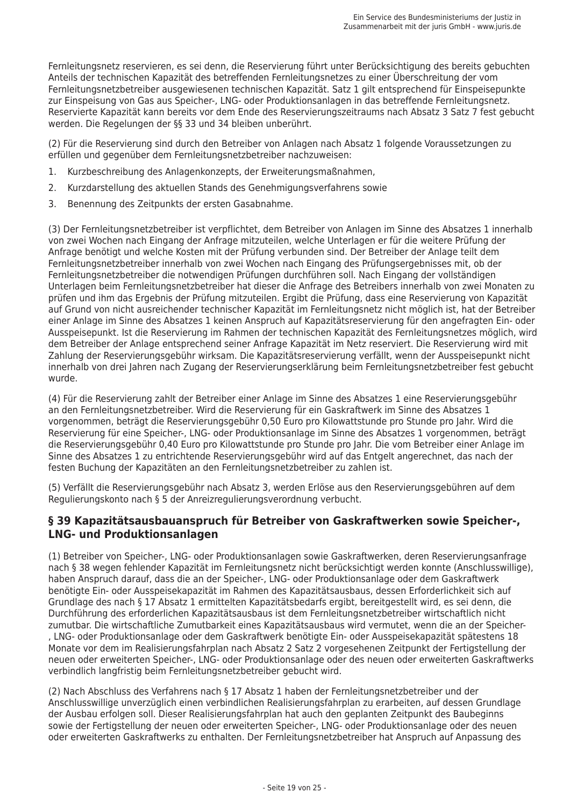Fernleitungsnetz reservieren, es sei denn, die Reservierung führt unter Berücksichtigung des bereits gebuchten Anteils der technischen Kapazität des betreffenden Fernleitungsnetzes zu einer Überschreitung der vom Fernleitungsnetzbetreiber ausgewiesenen technischen Kapazität. Satz 1 gilt entsprechend für Einspeisepunkte zur Einspeisung von Gas aus Speicher-, LNG- oder Produktionsanlagen in das betreffende Fernleitungsnetz. Reservierte Kapazität kann bereits vor dem Ende des Reservierungszeitraums nach Absatz 3 Satz 7 fest gebucht werden. Die Regelungen der §§ 33 und 34 bleiben unberührt.

(2) Für die Reservierung sind durch den Betreiber von Anlagen nach Absatz 1 folgende Voraussetzungen zu erfüllen und gegenüber dem Fernleitungsnetzbetreiber nachzuweisen:

- Kurzbeschreibung des Anlagenkonzepts, der Erweiterungsmaßnahmen,  $1.$
- $2.$ Kurzdarstellung des aktuellen Stands des Genehmigungsverfahrens sowie
- 3. Benennung des Zeitpunkts der ersten Gasabnahme.

(3) Der Fernleitungsnetzbetreiber ist verpflichtet, dem Betreiber von Anlagen im Sinne des Absatzes 1 innerhalb von zwei Wochen nach Eingang der Anfrage mitzuteilen, welche Unterlagen er für die weitere Prüfung der Anfrage benötigt und welche Kosten mit der Prüfung verbunden sind. Der Betreiber der Anlage teilt dem Fernleitungsnetzbetreiber innerhalb von zwei Wochen nach Eingang des Prüfungsergebnisses mit, ob der Fernleitungsnetzbetreiber die notwendigen Prüfungen durchführen soll. Nach Eingang der vollständigen Unterlagen beim Fernleitungsnetzbetreiber hat dieser die Anfrage des Betreibers innerhalb von zwei Monaten zu prüfen und ihm das Ergebnis der Prüfung mitzuteilen. Ergibt die Prüfung, dass eine Reservierung von Kapazität auf Grund von nicht ausreichender technischer Kapazität im Fernleitungsnetz nicht möglich ist, hat der Betreiber einer Anlage im Sinne des Absatzes 1 keinen Anspruch auf Kapazitätsreservierung für den angefragten Ein- oder Ausspeisepunkt. Ist die Reservierung im Rahmen der technischen Kapazität des Fernleitungsnetzes möglich, wird dem Betreiber der Anlage entsprechend seiner Anfrage Kapazität im Netz reserviert. Die Reservierung wird mit Zahlung der Reservierungsgebühr wirksam. Die Kapazitätsreservierung verfällt, wenn der Ausspeisepunkt nicht innerhalb von drei lahren nach Zugang der Reservierungserklärung beim Fernleitungsnetzbetreiber fest gebucht wurde.

(4) Für die Reservierung zahlt der Betreiber einer Anlage im Sinne des Absatzes 1 eine Reservierungsgebühr an den Fernleitungsnetzbetreiber. Wird die Reservierung für ein Gaskraftwerk im Sinne des Absatzes 1 vorgenommen, beträgt die Reservierungsgebühr 0,50 Euro pro Kilowattstunde pro Stunde pro Jahr. Wird die Reservierung für eine Speicher-, LNG- oder Produktionsanlage im Sinne des Absatzes 1 vorgenommen, beträgt die Reservierungsgebühr 0,40 Euro pro Kilowattstunde pro Stunde pro Jahr. Die vom Betreiber einer Anlage im Sinne des Absatzes 1 zu entrichtende Reservierungsgebühr wird auf das Entgelt angerechnet, das nach der festen Buchung der Kapazitäten an den Fernleitungsnetzbetreiber zu zahlen ist.

(5) Verfällt die Reservierungsgebühr nach Absatz 3, werden Erlöse aus den Reservierungsgebühren auf dem Regulierungskonto nach § 5 der Anreizregulierungsverordnung verbucht.

#### § 39 Kapazitätsausbauanspruch für Betreiber von Gaskraftwerken sowie Speicher-, **LNG- und Produktionsanlagen**

(1) Betreiber von Speicher-, LNG- oder Produktionsanlagen sowie Gaskraftwerken, deren Reservierungsanfrage nach § 38 wegen fehlender Kapazität im Fernleitungsnetz nicht berücksichtigt werden konnte (Anschlusswillige), haben Anspruch darauf, dass die an der Speicher-, LNG- oder Produktionsanlage oder dem Gaskraftwerk benötigte Ein- oder Ausspeisekapazität im Rahmen des Kapazitätsausbaus, dessen Erforderlichkeit sich auf Grundlage des nach § 17 Absatz 1 ermittelten Kapazitätsbedarfs ergibt, bereitgestellt wird, es sei denn, die Durchführung des erforderlichen Kapazitätsausbaus ist dem Fernleitungsnetzbetreiber wirtschaftlich nicht zumutbar. Die wirtschaftliche Zumutbarkeit eines Kapazitätsausbaus wird vermutet, wenn die an der Speicher-, LNG- oder Produktionsanlage oder dem Gaskraftwerk benötigte Ein- oder Ausspeisekapazität spätestens 18 Monate vor dem im Realisierungsfahrplan nach Absatz 2 Satz 2 vorgesehenen Zeitpunkt der Fertigstellung der neuen oder erweiterten Speicher-, LNG- oder Produktionsanlage oder des neuen oder erweiterten Gaskraftwerks verbindlich langfristig beim Fernleitungsnetzbetreiber gebucht wird.

(2) Nach Abschluss des Verfahrens nach § 17 Absatz 1 haben der Fernleitungsnetzbetreiber und der Anschlusswillige unverzüglich einen verbindlichen Realisierungsfahrplan zu erarbeiten, auf dessen Grundlage der Ausbau erfolgen soll. Dieser Realisierungsfahrplan hat auch den geplanten Zeitpunkt des Baubeginns sowie der Fertigstellung der neuen oder erweiterten Speicher-, LNG- oder Produktionsanlage oder des neuen oder erweiterten Gaskraftwerks zu enthalten. Der Fernleitungsnetzbetreiber hat Anspruch auf Anpassung des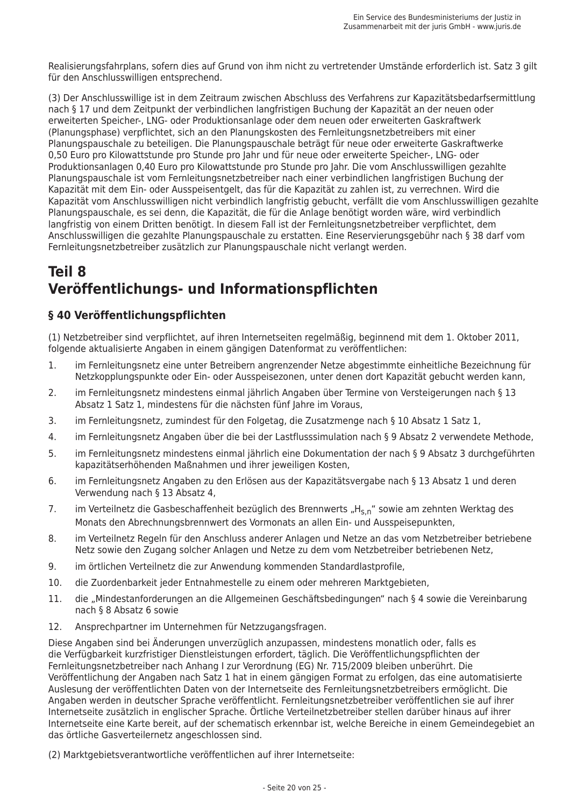Realisierungsfahrplans, sofern dies auf Grund von ihm nicht zu vertretender Umstände erforderlich ist. Satz 3 gilt für den Anschlusswilligen entsprechend.

(3) Der Anschlusswillige ist in dem Zeitraum zwischen Abschluss des Verfahrens zur Kapazitätsbedarfsermittlung nach § 17 und dem Zeitpunkt der verbindlichen langfristigen Buchung der Kapazität an der neuen oder erweiterten Speicher-, LNG- oder Produktionsanlage oder dem neuen oder erweiterten Gaskraftwerk (Planungsphase) verpflichtet, sich an den Planungskosten des Fernleitungsnetzbetreibers mit einer Planungspauschale zu beteiligen. Die Planungspauschale beträgt für neue oder erweiterte Gaskraftwerke 0.50 Euro pro Kilowattstunde pro Stunde pro Jahr und für neue oder erweiterte Speicher-, LNG- oder Produktionsanlagen 0,40 Euro pro Kilowattstunde pro Stunde pro Jahr. Die vom Anschlusswilligen gezahlte Planungspauschale ist vom Fernleitungsnetzbetreiber nach einer verbindlichen langfristigen Buchung der Kapazität mit dem Ein- oder Ausspeisentgelt, das für die Kapazität zu zahlen ist, zu verrechnen. Wird die Kapazität vom Anschlusswilligen nicht verbindlich langfristig gebucht, verfällt die vom Anschlusswilligen gezahlte Planungspauschale, es sei denn, die Kapazität, die für die Anlage benötigt worden wäre, wird verbindlich langfristig von einem Dritten benötigt. In diesem Fall ist der Fernleitungsnetzbetreiber verpflichtet, dem Anschlusswilligen die gezahlte Planungspauschale zu erstatten. Eine Reservierungsgebühr nach § 38 darf vom Fernleitungsnetzbetreiber zusätzlich zur Planungspauschale nicht verlangt werden.

# Teil 8 Veröffentlichungs- und Informationspflichten

## § 40 Veröffentlichungspflichten

(1) Netzbetreiber sind verpflichtet, auf ihren Internetseiten regelmäßig, beginnend mit dem 1. Oktober 2011. folgende aktualisierte Angaben in einem gängigen Datenformat zu veröffentlichen:

- im Fernleitungsnetz eine unter Betreibern angrenzender Netze abgestimmte einheitliche Bezeichnung für  $\mathbf{1}$ . Netzkopplungspunkte oder Ein- oder Ausspeisezonen, unter denen dort Kapazität gebucht werden kann,
- $2.$ im Fernleitungsnetz mindestens einmal jährlich Angaben über Termine von Versteigerungen nach § 13 Absatz 1 Satz 1, mindestens für die nächsten fünf Jahre im Voraus,
- im Fernleitungsnetz, zumindest für den Folgetag, die Zusatzmenge nach § 10 Absatz 1 Satz 1,  $\mathcal{F}$
- $\overline{4}$ im Fernleitungsnetz Angaben über die bei der Lastflusssimulation nach § 9 Absatz 2 verwendete Methode,
- 5. im Fernleitungsnetz mindestens einmal jährlich eine Dokumentation der nach § 9 Absatz 3 durchgeführten kapazitätserhöhenden Maßnahmen und ihrer jeweiligen Kosten,
- im Fernleitungsnetz Angaben zu den Erlösen aus der Kapazitätsvergabe nach § 13 Absatz 1 und deren 6. Verwendung nach § 13 Absatz 4.
- $7<sub>1</sub>$ im Verteilnetz die Gasbeschaffenheit bezüglich des Brennwerts "H<sub>s n</sub>" sowie am zehnten Werktag des Monats den Abrechnungsbrennwert des Vormonats an allen Ein- und Ausspeisepunkten.
- 8. im Verteilnetz Regeln für den Anschluss anderer Anlagen und Netze an das vom Netzbetreiber betriebene Netz sowie den Zugang solcher Anlagen und Netze zu dem vom Netzbetreiber betriebenen Netz,
- $Q_{\perp}$ im örtlichen Verteilnetz die zur Anwendung kommenden Standardlastprofile,
- 10. die Zuordenbarkeit jeder Entnahmestelle zu einem oder mehreren Marktgebieten,
- 11. die "Mindestanforderungen an die Allgemeinen Geschäftsbedingungen" nach § 4 sowie die Vereinbarung nach § 8 Absatz 6 sowie
- $12.$ Ansprechpartner im Unternehmen für Netzzugangsfragen.

Diese Angaben sind bei Änderungen unverzüglich anzupassen, mindestens monatlich oder, falls es die Verfügbarkeit kurzfristiger Dienstleistungen erfordert, täglich. Die Veröffentlichungspflichten der Fernleitungsnetzbetreiber nach Anhang I zur Verordnung (EG) Nr. 715/2009 bleiben unberührt. Die Veröffentlichung der Angaben nach Satz 1 hat in einem gängigen Format zu erfolgen, das eine automatisierte Auslesung der veröffentlichten Daten von der Internetseite des Fernleitungsnetzbetreibers ermöglicht. Die Angaben werden in deutscher Sprache veröffentlicht. Fernleitungsnetzbetreiber veröffentlichen sie auf ihrer Internetseite zusätzlich in englischer Sprache. Örtliche Verteilnetzbetreiber stellen darüber hinaus auf ihrer Internetseite eine Karte bereit, auf der schematisch erkennbar ist, welche Bereiche in einem Gemeindegebiet an das örtliche Gasverteilernetz angeschlossen sind.

(2) Marktgebietsverantwortliche veröffentlichen auf ihrer Internetseite: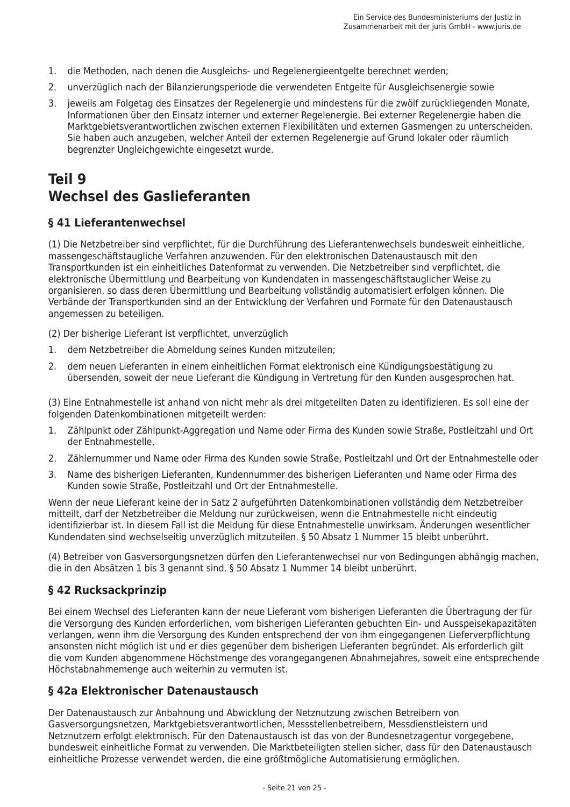- 1. die Methoden, nach denen die Ausgleichs- und Regelenergieentgelte berechnet werden:
- 2. unverzüglich nach der Bilanzierungsperiode die verwendeten Entgelte für Ausgleichsenergie sowie
- 3. jeweils am Folgetag des Einsatzes der Regelenergie und mindestens für die zwölf zurückliegenden Monate, Informationen über den Einsatz interner und externer Regelenergie. Bei externer Regelenergie haben die Marktgebietsverantwortlichen zwischen externen Flexibilitäten und externen Gasmengen zu unterscheiden. Sie haben auch anzugeben, welcher Anteil der externen Regelenergie auf Grund lokaler oder räumlich begrenzter Ungleichgewichte eingesetzt wurde.

# Teil 9 Wechsel des Gaslieferanten

## § 41 Lieferantenwechsel

(1) Die Netzbetreiber sind verpflichtet, für die Durchführung des Lieferantenwechsels bundesweit einheitliche, massengeschäftstaugliche Verfahren anzuwenden. Für den elektronischen Datenaustausch mit den Transportkunden ist ein einheitliches Datenformat zu verwenden. Die Netzbetreiber sind verpflichtet, die elektronische Übermittlung und Bearbeitung von Kundendaten in massengeschäftstauglicher Weise zu organisieren, so dass deren Übermittlung und Bearbeitung vollständig automatisiert erfolgen können. Die Verbände der Transportkunden sind an der Entwicklung der Verfahren und Formate für den Datenaustausch angemessen zu beteiligen.

(2) Der bisherige Lieferant ist verpflichtet, unverzüglich

- 1. dem Netzbetreiber die Abmeldung seines Kunden mitzuteilen;
- dem neuen Lieferanten in einem einheitlichen Format elektronisch eine Kündigungsbestätigung zu  $\mathcal{P}$ übersenden, soweit der neue Lieferant die Kündigung in Vertretung für den Kunden ausgesprochen hat.

(3) Eine Entnahmestelle ist anhand von nicht mehr als drei mitgeteilten Daten zu identifizieren. Es soll eine der folgenden Datenkombinationen mitgeteilt werden:

- 1. Zählpunkt oder Zählpunkt-Aggregation und Name oder Firma des Kunden sowie Straße, Postleitzahl und Ort der Entnahmestelle,
- Zählernummer und Name oder Firma des Kunden sowie Straße. Postleitzahl und Ort der Entnahmestelle oder  $\mathcal{P}$
- Name des bisherigen Lieferanten, Kundennummer des bisherigen Lieferanten und Name oder Firma des  $\mathcal{F}$ Kunden sowie Straße, Postleitzahl und Ort der Entnahmestelle.

Wenn der neue Lieferant keine der in Satz 2 aufgeführten Datenkombinationen vollständig dem Netzbetreiber mitteilt, darf der Netzbetreiber die Meldung nur zurückweisen, wenn die Entnahmestelle nicht eindeutig identifizierbar ist. In diesem Fall ist die Meldung für diese Entnahmestelle unwirksam. Änderungen wesentlicher Kundendaten sind wechselseitig unverzüglich mitzuteilen. § 50 Absatz 1 Nummer 15 bleibt unberührt.

(4) Betreiber von Gasversorgungsnetzen dürfen den Lieferantenwechsel nur von Bedingungen abhängig machen, die in den Absätzen 1 bis 3 genannt sind. § 50 Absatz 1 Nummer 14 bleibt unberührt.

## § 42 Rucksackprinzip

Bei einem Wechsel des Lieferanten kann der neue Lieferant vom bisherigen Lieferanten die Übertragung der für die Versorgung des Kunden erforderlichen, vom bisherigen Lieferanten gebuchten Ein- und Ausspeisekapazitäten verlangen, wenn ihm die Versorgung des Kunden entsprechend der von ihm eingegangenen Lieferverpflichtung ansonsten nicht möglich ist und er dies gegenüber dem bisherigen Lieferanten begründet. Als erforderlich gilt die vom Kunden abgenommene Höchstmenge des vorangegangenen Abnahmeiahres, soweit eine entsprechende Höchstabnahmemenge auch weiterhin zu vermuten ist.

#### § 42a Elektronischer Datenaustausch

Der Datenaustausch zur Anbahnung und Abwicklung der Netznutzung zwischen Betreibern von Gasversorgungsnetzen, Marktgebietsverantwortlichen, Messstellenbetreibern, Messdienstleistern und Netznutzern erfolgt elektronisch. Für den Datenaustausch ist das von der Bundesnetzagentur vorgegebene, bundesweit einheitliche Format zu verwenden. Die Marktbeteiligten stellen sicher, dass für den Datenaustausch einheitliche Prozesse verwendet werden, die eine größtmögliche Automatisierung ermöglichen.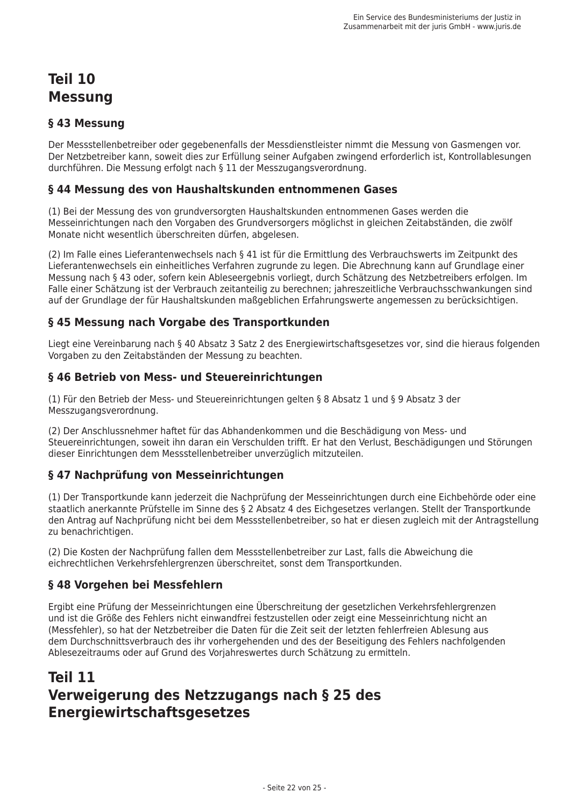# **Teil 10 Messung**

### §43 Messung

Der Messstellenbetreiber oder gegebenenfalls der Messdienstleister nimmt die Messung von Gasmengen vor. Der Netzbetreiber kann, soweit dies zur Erfüllung seiner Aufgaben zwingend erforderlich ist. Kontrollablesungen durchführen. Die Messung erfolgt nach § 11 der Messzugangsverordnung.

#### § 44 Messung des von Haushaltskunden entnommenen Gases

(1) Bei der Messung des von grundversorgten Haushaltskunden entnommenen Gases werden die Messeinrichtungen nach den Vorgaben des Grundversorgers möglichst in gleichen Zeitabständen, die zwölf Monate nicht wesentlich überschreiten dürfen, abgelesen.

(2) Im Falle eines Lieferantenwechsels nach § 41 ist für die Ermittlung des Verbrauchswerts im Zeitpunkt des Lieferantenwechsels ein einheitliches Verfahren zugrunde zu legen. Die Abrechnung kann auf Grundlage einer Messung nach § 43 oder, sofern kein Ableseergebnis vorliegt, durch Schätzung des Netzbetreibers erfolgen. Im Falle einer Schätzung ist der Verbrauch zeitanteilig zu berechnen; jahreszeitliche Verbrauchsschwankungen sind auf der Grundlage der für Haushaltskunden maßgeblichen Erfahrungswerte angemessen zu berücksichtigen.

### § 45 Messung nach Vorgabe des Transportkunden

Liegt eine Vereinbarung nach § 40 Absatz 3 Satz 2 des Energiewirtschaftsgesetzes vor, sind die hieraus folgenden Vorgaben zu den Zeitabständen der Messung zu beachten.

#### §46 Betrieb von Mess- und Steuereinrichtungen

(1) Für den Betrieb der Mess- und Steuereinrichtungen gelten § 8 Absatz 1 und § 9 Absatz 3 der Messzugangsverordnung.

(2) Der Anschlussnehmer haftet für das Abhandenkommen und die Beschädigung von Mess- und Steuereinrichtungen, soweit ihn daran ein Verschulden trifft. Er hat den Verlust, Beschädigungen und Störungen dieser Einrichtungen dem Messstellenbetreiber unverzüglich mitzuteilen.

#### § 47 Nachprüfung von Messeinrichtungen

(1) Der Transportkunde kann jederzeit die Nachprüfung der Messeinrichtungen durch eine Eichbehörde oder eine staatlich anerkannte Prüfstelle im Sinne des § 2 Absatz 4 des Eichgesetzes verlangen. Stellt der Transportkunde den Antrag auf Nachprüfung nicht bei dem Messstellenbetreiber, so hat er diesen zugleich mit der Antragstellung zu benachrichtigen.

(2) Die Kosten der Nachprüfung fallen dem Messstellenbetreiber zur Last, falls die Abweichung die eichrechtlichen Verkehrsfehlergrenzen überschreitet, sonst dem Transportkunden.

#### § 48 Vorgehen bei Messfehlern

Ergibt eine Prüfung der Messeinrichtungen eine Überschreitung der gesetzlichen Verkehrsfehlergrenzen und ist die Größe des Fehlers nicht einwandfrei festzustellen oder zeigt eine Messeinrichtung nicht an (Messfehler), so hat der Netzbetreiber die Daten für die Zeit seit der letzten fehlerfreien Ablesung aus dem Durchschnittsverbrauch des ihr vorhergehenden und des der Beseitigung des Fehlers nachfolgenden Ablesezeitraums oder auf Grund des Vorjahreswertes durch Schätzung zu ermitteln.

# **Teil 11** Verweigerung des Netzzugangs nach § 25 des **Energiewirtschaftsgesetzes**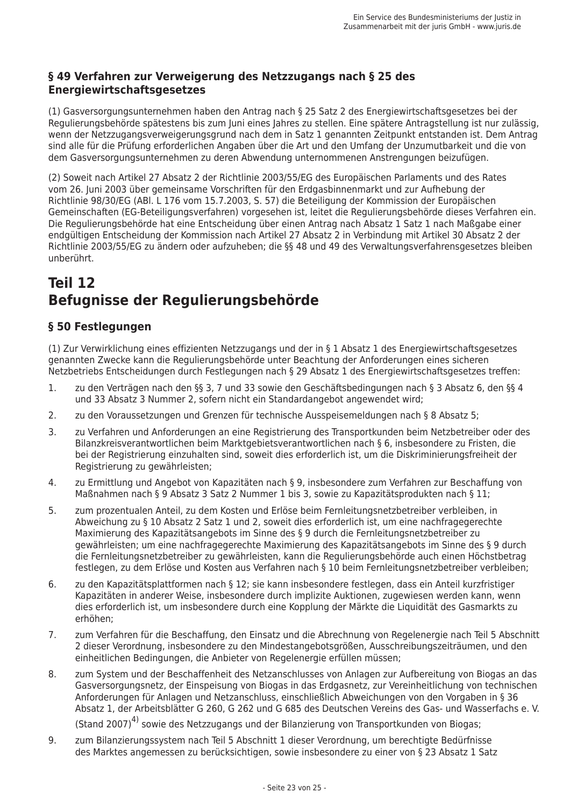### § 49 Verfahren zur Verweigerung des Netzzugangs nach § 25 des **Energiewirtschaftsgesetzes**

(1) Gasversorgungsunternehmen haben den Antrag nach § 25 Satz 2 des Energiewirtschaftsgesetzes bei der Regulierungsbehörde spätestens bis zum Juni eines Jahres zu stellen. Eine spätere Antragstellung ist nur zulässig, wenn der Netzzugangsverweigerungsgrund nach dem in Satz 1 genannten Zeitpunkt entstanden ist. Dem Antrag sind alle für die Prüfung erforderlichen Angaben über die Art und den Umfang der Unzumutbarkeit und die von dem Gasversorgungsunternehmen zu deren Abwendung unternommenen Anstrengungen beizufügen.

(2) Soweit nach Artikel 27 Absatz 2 der Richtlinie 2003/55/EG des Europäischen Parlaments und des Rates vom 26. Juni 2003 über gemeinsame Vorschriften für den Erdgasbinnenmarkt und zur Aufhebung der Richtlinie 98/30/EG (ABI. L 176 vom 15.7.2003, S. 57) die Beteiligung der Kommission der Europäischen Gemeinschaften (EG-Beteiligungsverfahren) vorgesehen ist, leitet die Regulierungsbehörde dieses Verfahren ein. Die Regulierungsbehörde hat eine Entscheidung über einen Antrag nach Absatz 1 Satz 1 nach Maßgabe einer endgültigen Entscheidung der Kommission nach Artikel 27 Absatz 2 in Verbindung mit Artikel 30 Absatz 2 der Richtlinie 2003/55/EG zu ändern oder aufzuheben; die §§ 48 und 49 des Verwaltungsverfahrensgesetzes bleiben unberührt.

# **Teil 12** Befugnisse der Regulierungsbehörde

## § 50 Festlegungen

(1) Zur Verwirklichung eines effizienten Netzzugangs und der in § 1 Absatz 1 des Energiewirtschaftsgesetzes genannten Zwecke kann die Regulierungsbehörde unter Beachtung der Anforderungen eines sicheren Netzbetriebs Entscheidungen durch Festlegungen nach § 29 Absatz 1 des Energiewirtschaftsgesetzes treffen:

- zu den Verträgen nach den §§ 3. 7 und 33 sowie den Geschäftsbedingungen nach § 3 Absatz 6. den §§ 4  $\mathbf{1}$ . und 33 Absatz 3 Nummer 2, sofern nicht ein Standardangebot angewendet wird;
- $2.$ zu den Voraussetzungen und Grenzen für technische Ausspeisemeldungen nach § 8 Absatz 5;
- $\overline{3}$ . zu Verfahren und Anforderungen an eine Registrierung des Transportkunden beim Netzbetreiber oder des Bilanzkreisverantwortlichen beim Marktgebietsverantwortlichen nach § 6, insbesondere zu Fristen, die bei der Registrierung einzuhalten sind, soweit dies erforderlich ist, um die Diskriminierungsfreiheit der Registrierung zu gewährleisten;
- zu Ermittlung und Angebot von Kapazitäten nach § 9. insbesondere zum Verfahren zur Beschaffung von  $\overline{4}$ Maßnahmen nach § 9 Absatz 3 Satz 2 Nummer 1 bis 3. sowie zu Kapazitätsprodukten nach § 11:
- $5<sub>1</sub>$ zum prozentualen Anteil, zu dem Kosten und Erlöse beim Fernleitungsnetzbetreiber verbleiben, in Abweichung zu § 10 Absatz 2 Satz 1 und 2. soweit dies erforderlich ist, um eine nachfragegerechte Maximierung des Kapazitätsangebots im Sinne des § 9 durch die Fernleitungsnetzbetreiber zu gewährleisten; um eine nachfragegerechte Maximierung des Kapazitätsangebots im Sinne des § 9 durch die Fernleitungsnetzbetreiber zu gewährleisten, kann die Regulierungsbehörde auch einen Höchstbetrag festlegen, zu dem Erlöse und Kosten aus Verfahren nach § 10 beim Fernleitungsnetzbetreiber verbleiben;
- zu den Kapazitätsplattformen nach § 12; sie kann insbesondere festlegen, dass ein Anteil kurzfristiger 6. Kapazitäten in anderer Weise, insbesondere durch implizite Auktionen, zugewiesen werden kann, wenn dies erforderlich ist, um insbesondere durch eine Kopplung der Märkte die Liquidität des Gasmarkts zu erhöhen:
- $\overline{7}$ . zum Verfahren für die Beschaffung, den Einsatz und die Abrechnung von Regelenergie nach Teil 5 Abschnitt 2 dieser Verordnung, insbesondere zu den Mindestangebotsgrößen, Ausschreibungszeiträumen, und den einheitlichen Bedingungen, die Anbieter von Regelenergie erfüllen müssen:
- zum System und der Beschaffenheit des Netzanschlusses von Anlagen zur Aufbereitung von Biogas an das 8. Gasversorgungsnetz, der Einspeisung von Biogas in das Erdgasnetz, zur Vereinheitlichung von technischen Anforderungen für Anlagen und Netzanschluss, einschließlich Abweichungen von den Vorgaben in § 36 Absatz 1, der Arbeitsblätter G 260, G 262 und G 685 des Deutschen Vereins des Gas- und Wasserfachs e. V.

(Stand 2007)<sup>4)</sup> sowie des Netzzugangs und der Bilanzierung von Transportkunden von Biogas;

9. zum Bilanzierungssystem nach Teil 5 Abschnitt 1 dieser Verordnung, um berechtigte Bedürfnisse des Marktes angemessen zu berücksichtigen, sowie insbesondere zu einer von § 23 Absatz 1 Satz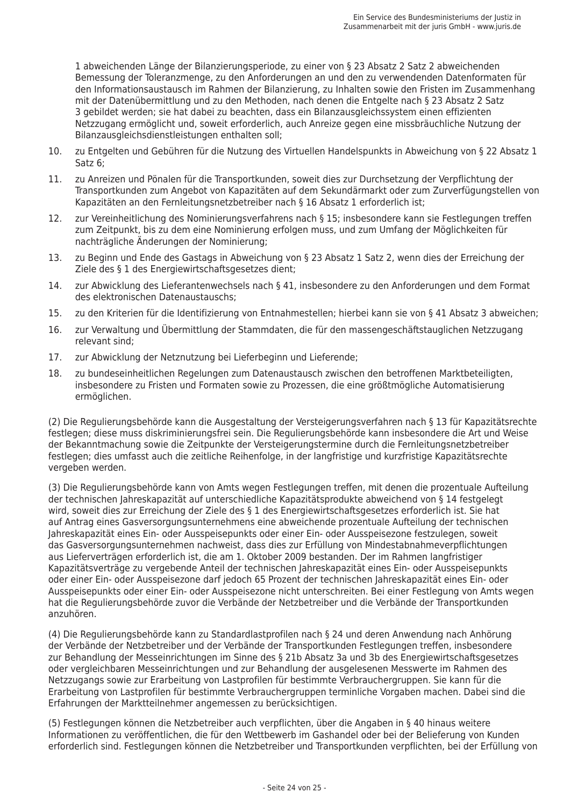1 abweichenden Länge der Bilanzierungsperiode, zu einer von § 23 Absatz 2 Satz 2 abweichenden Bemessung der Toleranzmenge, zu den Anforderungen an und den zu verwendenden Datenformaten für den Informationsaustausch im Rahmen der Bilanzierung, zu Inhalten sowie den Fristen im Zusammenhang mit der Datenübermittlung und zu den Methoden, nach denen die Entgelte nach § 23 Absatz 2 Satz 3 gebildet werden; sie hat dabei zu beachten, dass ein Bilanzausgleichssystem einen effizienten Netzzugang ermöglicht und, soweit erforderlich, auch Anreize gegen eine missbräuchliche Nutzung der Bilanzausgleichsdienstleistungen enthalten soll;

- $10.$ zu Entgelten und Gebühren für die Nutzung des Virtuellen Handelspunkts in Abweichung von § 22 Absatz 1 Satz 6:
- zu Anreizen und Pönalen für die Transportkunden, soweit dies zur Durchsetzung der Verpflichtung der  $11.$ Transportkunden zum Angebot von Kapazitäten auf dem Sekundärmarkt oder zum Zurverfügungstellen von Kapazitäten an den Fernleitungsnetzbetreiber nach § 16 Absatz 1 erforderlich ist;
- zur Vereinheitlichung des Nominierungsverfahrens nach § 15; insbesondere kann sie Festlegungen treffen  $12<sub>1</sub>$ zum Zeitpunkt, bis zu dem eine Nominierung erfolgen muss, und zum Umfang der Möglichkeiten für nachträgliche Änderungen der Nominierung;
- zu Beginn und Ende des Gastags in Abweichung von § 23 Absatz 1 Satz 2. wenn dies der Erreichung der 13. Ziele des § 1 des Energiewirtschaftsgesetzes dient:
- 14. zur Abwicklung des Lieferantenwechsels nach § 41, insbesondere zu den Anforderungen und dem Format des elektronischen Datenaustauschs;
- $15.$ zu den Kriterien für die Identifizierung von Entnahmestellen; hierbei kann sie von § 41 Absatz 3 abweichen;
- 16. zur Verwaltung und Übermittlung der Stammdaten, die für den massengeschäftstauglichen Netzzugang relevant sind:
- 17. zur Abwicklung der Netznutzung bei Lieferbeginn und Lieferende;
- 18. zu bundeseinheitlichen Regelungen zum Datenaustausch zwischen den betroffenen Marktbeteiligten. insbesondere zu Fristen und Formaten sowie zu Prozessen, die eine größtmögliche Automatisierung ermöglichen.

(2) Die Regulierungsbehörde kann die Ausgestaltung der Versteigerungsverfahren nach § 13 für Kapazitätsrechte festlegen: diese muss diskriminierungsfrei sein. Die Regulierungsbehörde kann insbesondere die Art und Weise der Bekanntmachung sowie die Zeitpunkte der Versteigerungstermine durch die Fernleitungsnetzbetreiber festlegen; dies umfasst auch die zeitliche Reihenfolge, in der langfristige und kurzfristige Kapazitätsrechte vergeben werden.

(3) Die Regulierungsbehörde kann von Amts wegen Festlegungen treffen, mit denen die prozentuale Aufteilung der technischen lahreskapazität auf unterschiedliche Kapazitätsprodukte abweichend von § 14 festgelegt wird, soweit dies zur Erreichung der Ziele des § 1 des Energiewirtschaftsgesetzes erforderlich ist. Sie hat auf Antrag eines Gasversorgungsunternehmens eine abweichende prozentuale Aufteilung der technischen Jahreskapazität eines Ein- oder Ausspeisepunkts oder einer Ein- oder Ausspeisezone festzulegen, soweit das Gasversorgungsunternehmen nachweist, dass dies zur Erfüllung von Mindestabnahmeverpflichtungen aus Lieferverträgen erforderlich ist, die am 1. Oktober 2009 bestanden. Der im Rahmen langfristiger Kapazitätsverträge zu vergebende Anteil der technischen Jahreskapazität eines Ein- oder Ausspeisepunkts oder einer Ein- oder Ausspeisezone darf jedoch 65 Prozent der technischen Jahreskapazität eines Ein- oder Ausspeisepunkts oder einer Ein- oder Ausspeisezone nicht unterschreiten. Bei einer Festlegung von Amts wegen hat die Regulierungsbehörde zuvor die Verbände der Netzbetreiber und die Verbände der Transportkunden anzuhören.

(4) Die Regulierungsbehörde kann zu Standardlastprofilen nach § 24 und deren Anwendung nach Anhörung der Verbände der Netzbetreiber und der Verbände der Transportkunden Festlegungen treffen, insbesondere zur Behandlung der Messeinrichtungen im Sinne des § 21b Absatz 3a und 3b des Energiewirtschaftsgesetzes oder vergleichbaren Messeinrichtungen und zur Behandlung der ausgelesenen Messwerte im Rahmen des Netzzugangs sowie zur Erarbeitung von Lastprofilen für bestimmte Verbrauchergruppen. Sie kann für die Erarbeitung von Lastprofilen für bestimmte Verbrauchergruppen terminliche Vorgaben machen. Dabei sind die Erfahrungen der Marktteilnehmer angemessen zu berücksichtigen.

(5) Festlegungen können die Netzbetreiber auch verpflichten, über die Angaben in § 40 hinaus weitere Informationen zu veröffentlichen, die für den Wettbewerb im Gashandel oder bei der Belieferung von Kunden erforderlich sind. Festlegungen können die Netzbetreiber und Transportkunden verpflichten, bei der Erfüllung von